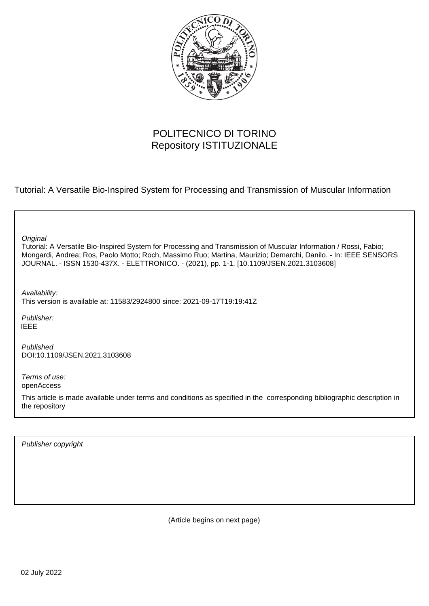

# POLITECNICO DI TORINO Repository ISTITUZIONALE

Tutorial: A Versatile Bio-Inspired System for Processing and Transmission of Muscular Information

| Original<br>Tutorial: A Versatile Bio-Inspired System for Processing and Transmission of Muscular Information / Rossi, Fabio;<br>Mongardi, Andrea; Ros, Paolo Motto; Roch, Massimo Ruo; Martina, Maurizio; Demarchi, Danilo. - In: IEEE SENSORS<br>JOURNAL. - ISSN 1530-437X. - ELETTRONICO. - (2021), pp. 1-1. [10.1109/JSEN.2021.3103608] |
|---------------------------------------------------------------------------------------------------------------------------------------------------------------------------------------------------------------------------------------------------------------------------------------------------------------------------------------------|
| Availability:<br>This version is available at: 11583/2924800 since: 2021-09-17T19:19:41Z                                                                                                                                                                                                                                                    |
| Publisher:<br><b>IEEE</b>                                                                                                                                                                                                                                                                                                                   |
| Published<br>DOI:10.1109/JSEN.2021.3103608                                                                                                                                                                                                                                                                                                  |
| Terms of use:<br>openAccess                                                                                                                                                                                                                                                                                                                 |
| This article is made available under terms and conditions as specified in the corresponding bibliographic description in<br>the repository                                                                                                                                                                                                  |
|                                                                                                                                                                                                                                                                                                                                             |

Publisher copyright

(Article begins on next page)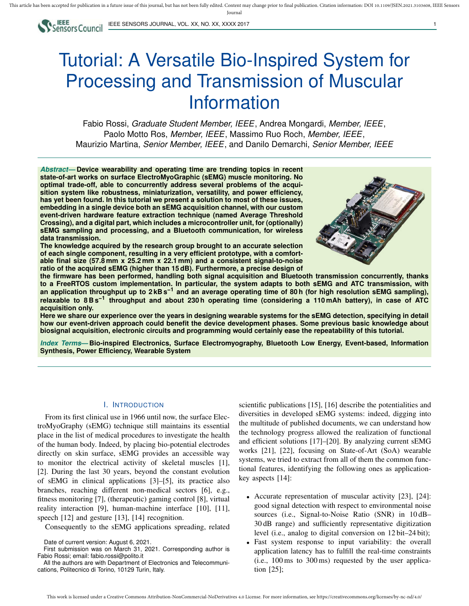

IEEE SENSORS JOURNAL, VOL. XX, NO. XX, XXXX 2017

# Tutorial: A Versatile Bio-Inspired System for Processing and Transmission of Muscular Information

Fabio Rossi, *Graduate Student Member, IEEE*, Andrea Mongardi, *Member, IEEE*, Paolo Motto Ros, *Member, IEEE*, Massimo Ruo Roch, *Member, IEEE*, Maurizio Martina, *Senior Member, IEEE*, and Danilo Demarchi, *Senior Member, IEEE*

*Abstract***— Device wearability and operating time are trending topics in recent state-of-art works on surface ElectroMyoGraphic (sEMG) muscle monitoring. No optimal trade-off, able to concurrently address several problems of the acquisition system like robustness, miniaturization, versatility, and power efficiency, has yet been found. In this tutorial we present a solution to most of these issues, embedding in a single device both an sEMG acquisition channel, with our custom event-driven hardware feature extraction technique (named Average Threshold Crossing), and a digital part, which includes a microcontroller unit, for (optionally) sEMG sampling and processing, and a Bluetooth communication, for wireless data transmission.**

**The knowledge acquired by the research group brought to an accurate selection of each single component, resulting in a very efficient prototype, with a comfortable final size (57.8 mm x 25.2 mm x 22.1 mm) and a consistent signal-to-noise ratio of the acquired sEMG (higher than 15 dB). Furthermore, a precise design of**



**the firmware has been performed, handling both signal acquisition and Bluetooth transmission concurrently, thanks to a FreeRTOS custom implementation. In particular, the system adapts to both sEMG and ATC transmission, with an application throughput up to 2 kB s−1 and an average operating time of 80 h (for high resolution sEMG sampling), relaxable to 8 B s−1 throughput and about 230 h operating time (considering a 110 mAh battery), in case of ATC acquisition only.**

**Here we share our experience over the years in designing wearable systems for the sEMG detection, specifying in detail how our event-driven approach could benefit the device development phases. Some previous basic knowledge about biosignal acquisition, electronic circuits and programming would certainly ease the repeatability of this tutorial.**

*Index Terms***— Bio-inspired Electronics, Surface Electromyography, Bluetooth Low Energy, Event-based, Information Synthesis, Power Efficiency, Wearable System**

# I. INTRODUCTION

From its first clinical use in 1966 until now, the surface ElectroMyoGraphy (sEMG) technique still maintains its essential place in the list of medical procedures to investigate the health of the human body. Indeed, by placing bio-potential electrodes directly on skin surface, sEMG provides an accessible way to monitor the electrical activity of skeletal muscles [1], [2]. During the last 30 years, beyond the constant evolution of sEMG in clinical applications [3]–[5], its practice also branches, reaching different non-medical sectors [6], e.g., fitness monitoring [7], (therapeutic) gaming control [8], virtual reality interaction [9], human-machine interface [10], [11], speech [12] and gesture [13], [14] recognition.

Consequently to the sEMG applications spreading, related

All the authors are with Department of Electronics and Telecommunications, Politecnico di Torino, 10129 Turin, Italy.

scientific publications [15], [16] describe the potentialities and diversities in developed sEMG systems: indeed, digging into the multitude of published documents, we can understand how the technology progress allowed the realization of functional and efficient solutions [17]–[20]. By analyzing current sEMG works [21], [22], focusing on State-of-Art (SoA) wearable systems, we tried to extract from all of them the common functional features, identifying the following ones as applicationkey aspects [14]:

- Accurate representation of muscular activity [23], [24]: good signal detection with respect to environmental noise sources (i.e., Signal-to-Noise Ratio (SNR) in 10 dB– 30 dB range) and sufficiently representative digitization level (i.e., analog to digital conversion on 12 bit–24 bit);
- Fast system response to input variability: the overall application latency has to fulfill the real-time constraints (i.e., 100 ms to 300 ms) requested by the user application [25];

Date of current version: August 6, 2021.

First submission was on March 31, 2021. Corresponding author is Fabio Rossi; email: fabio.rossi@polito.it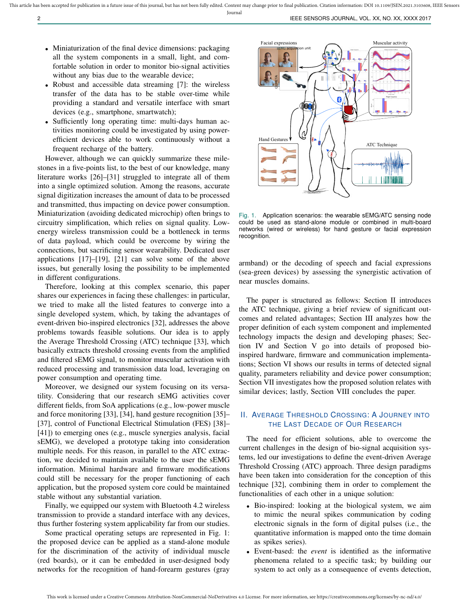- Miniaturization of the final device dimensions: packaging all the system components in a small, light, and comfortable solution in order to monitor bio-signal activities without any bias due to the wearable device;
- Robust and accessible data streaming [7]: the wireless transfer of the data has to be stable over-time while providing a standard and versatile interface with smart devices (e.g., smartphone, smartwatch);
- Sufficiently long operating time: multi-days human activities monitoring could be investigated by using powerefficient devices able to work continuously without a frequent recharge of the battery.

However, although we can quickly summarize these milestones in a five-points list, to the best of our knowledge, many literature works [26]–[31] struggled to integrate all of them into a single optimized solution. Among the reasons, accurate signal digitization increases the amount of data to be processed and transmitted, thus impacting on device power consumption. Miniaturization (avoiding dedicated microchip) often brings to circuitry simplification, which relies on signal quality. Lowenergy wireless transmission could be a bottleneck in terms of data payload, which could be overcome by wiring the connections, but sacrificing sensor wearability. Dedicated user applications [17]–[19], [21] can solve some of the above issues, but generally losing the possibility to be implemented in different configurations.

Therefore, looking at this complex scenario, this paper shares our experiences in facing these challenges: in particular, we tried to make all the listed features to converge into a single developed system, which, by taking the advantages of event-driven bio-inspired electronics [32], addresses the above problems towards feasible solutions. Our idea is to apply the Average Threshold Crossing (ATC) technique [33], which basically extracts threshold crossing events from the amplified and filtered sEMG signal, to monitor muscular activation with reduced processing and transmission data load, leveraging on power consumption and operating time.

Moreover, we designed our system focusing on its versatility. Considering that our research sEMG activities cover different fields, from SoA applications (e.g., low-power muscle and force monitoring [33], [34], hand gesture recognition [35]– [37], control of Functional Electrical Stimulation (FES) [38]– [41]) to emerging ones (e.g., muscle synergies analysis, facial sEMG), we developed a prototype taking into consideration multiple needs. For this reason, in parallel to the ATC extraction, we decided to maintain available to the user the sEMG information. Minimal hardware and firmware modifications could still be necessary for the proper functioning of each application, but the proposed system core could be maintained stable without any substantial variation.

Finally, we equipped our system with Bluetooth 4.2 wireless transmission to provide a standard interface with any devices, thus further fostering system applicability far from our studies.

Some practical operating setups are represented in Fig. 1: the proposed device can be applied as a stand-alone module for the discrimination of the activity of individual muscle (red boards), or it can be embedded in user-designed body networks for the recognition of hand-forearm gestures (gray



Fig. 1. Application scenarios: the wearable sEMG/ATC sensing node could be used as stand-alone module or combined in multi-board networks (wired or wireless) for hand gesture or facial expression recognition.

armband) or the decoding of speech and facial expressions (sea-green devices) by assessing the synergistic activation of near muscles domains.

The paper is structured as follows: Section II introduces the ATC technique, giving a brief review of significant outcomes and related advantages; Section III analyzes how the proper definition of each system component and implemented technology impacts the design and developing phases; Section IV and Section V go into details of proposed bioinspired hardware, firmware and communication implementations; Section VI shows our results in terms of detected signal quality, parameters reliability and device power consumption; Section VII investigates how the proposed solution relates with similar devices; lastly, Section VIII concludes the paper.

# II. AVERAGE THRESHOLD CROSSING: A JOURNEY INTO THE LAST DECADE OF OUR RESEARCH

The need for efficient solutions, able to overcome the current challenges in the design of bio-signal acquisition systems, led our investigations to define the event-driven Average Threshold Crossing (ATC) approach. Three design paradigms have been taken into consideration for the conception of this technique [32], combining them in order to complement the functionalities of each other in a unique solution:

- Bio-inspired: looking at the biological system, we aim to mimic the neural spikes communication by coding electronic signals in the form of digital pulses (i.e., the quantitative information is mapped onto the time domain as spikes series).
- Event-based: the *event* is identified as the informative phenomena related to a specific task; by building our system to act only as a consequence of events detection,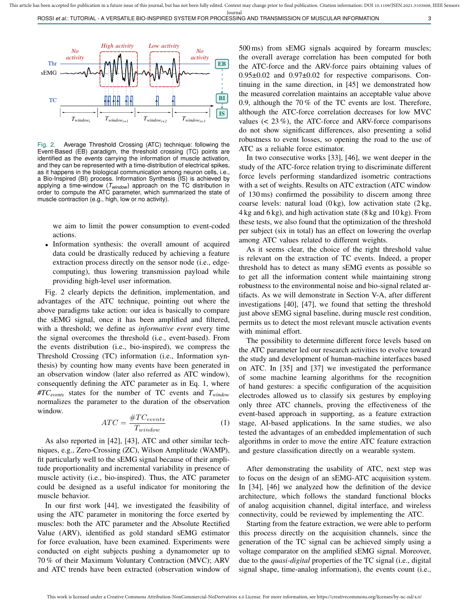

Fig. 2. Average Threshold Crossing (ATC) technique: following the Event-Based (EB) paradigm, the threshold crossing (TC) points are identified as the *events* carrying the information of muscle activation, and they can be represented with a time-distribution of electrical spikes, as it happens in the biological communication among neuron cells, i.e., a Bio-Inspired (BI) process. Information Synthesis (IS) is achieved by applying a time-window (*Twindow*) approach on the TC distribution in order to compute the ATC parameter, which summarized the state of muscle contraction (e.g., high, low or no activity).

we aim to limit the power consumption to event-coded actions.

• Information synthesis: the overall amount of acquired data could be drastically reduced by achieving a feature extraction process directly on the sensor node (i.e., edgecomputing), thus lowering transmission payload while providing high-level user information.

Fig. 2 clearly depicts the definition, implementation, and advantages of the ATC technique, pointing out where the above paradigms take action: our idea is basically to compare the sEMG signal, once it has been amplified and filtered, with a threshold; we define as *informative event* every time the signal overcomes the threshold (i.e., event-based). From the events distribution (i.e., bio-inspired), we compress the Threshold Crossing (TC) information (i.e., Information synthesis) by counting how many events have been generated in an observation window (later also referred as ATC window), consequently defining the ATC parameter as in Eq. 1, where *#TCevents* states for the number of TC events and *Twindow* normalizes the parameter to the duration of the observation window.

$$
ATC = \frac{\#TC_{events}}{T_{window}}\tag{1}
$$

As also reported in [42], [43], ATC and other similar techniques, e.g., Zero-Crossing (ZC), Wilson Amplitude (WAMP), fit particularly well to the sEMG signal because of their amplitude proportionality and incremental variability in presence of muscle activity (i.e., bio-inspired). Thus, the ATC parameter could be designed as a useful indicator for monitoring the muscle behavior.

In our first work [44], we investigated the feasibility of using the ATC parameter in monitoring the force exerted by muscles: both the ATC parameter and the Absolute Rectified Value (ARV), identified as gold standard sEMG estimator for force evaluation, have been examined. Experiments were conducted on eight subjects pushing a dynamometer up to 70 % of their Maximum Voluntary Contraction (MVC); ARV and ATC trends have been extracted (observation window of

500 ms) from sEMG signals acquired by forearm muscles; the overall average correlation has been computed for both the ATC-force and the ARV-force pairs obtaining values of 0.95±0.02 and 0.97±0.02 for respective comparisons. Continuing in the same direction, in [45] we demonstrated how the measured correlation maintains an acceptable value above 0.9, although the 70 % of the TC events are lost. Therefore, although the ATC-force correlation decreases for low MVC values  $(< 23\%)$ , the ATC-force and ARV-force comparisons do not show significant differences, also presenting a solid robustness to event losses, so opening the road to the use of ATC as a reliable force estimator.

In two consecutive works [33], [46], we went deeper in the study of the ATC-force relation trying to discriminate different force levels performing standardized isometric contractions with a set of weights. Results on ATC extraction (ATC window of 130 ms) confirmed the possibility to discern among three coarse levels: natural load  $(0 \text{ kg})$ , low activation state  $(2 \text{ kg})$ , 4 kg and 6 kg), and high activation state (8 kg and 10 kg). From these tests, we also found that the optimization of the threshold per subject (six in total) has an effect on lowering the overlap among ATC values related to different weights.

As it seems clear, the choice of the right threshold value is relevant on the extraction of TC events. Indeed, a proper threshold has to detect as many sEMG events as possible so to get all the information content while maintaining strong robustness to the environmental noise and bio-signal related artifacts. As we will demonstrate in Section V-A, after different investigations [40], [47], we found that setting the threshold just above sEMG signal baseline, during muscle rest condition, permits us to detect the most relevant muscle activation events with minimal effort.

The possibility to determine different force levels based on the ATC parameter led our research activities to evolve toward the study and development of human-machine interfaces based on ATC. In [35] and [37] we investigated the performance of some machine learning algorithms for the recognition of hand gestures: a specific configuration of the acquisition electrodes allowed us to classify six gestures by employing only three ATC channels, proving the effectiveness of the event-based approach in supporting, as a feature extraction stage, AI-based applications. In the same studies, we also tested the advantages of an embedded implementation of such algorithms in order to move the entire ATC feature extraction and gesture classification directly on a wearable system.

After demonstrating the usability of ATC, next step was to focus on the design of an sEMG-ATC acquisition system. In [34], [46] we analyzed how the definition of the device architecture, which follows the standard functional blocks of analog acquisition channel, digital interface, and wireless connectivity, could be reviewed by implementing the ATC.

Starting from the feature extraction, we were able to perform this process directly on the acquisition channels, since the generation of the TC signal can be achieved simply using a voltage comparator on the amplified sEMG signal. Moreover, due to the *quasi-digital* properties of the TC signal (i.e., digital signal shape, time-analog information), the events count (i.e.,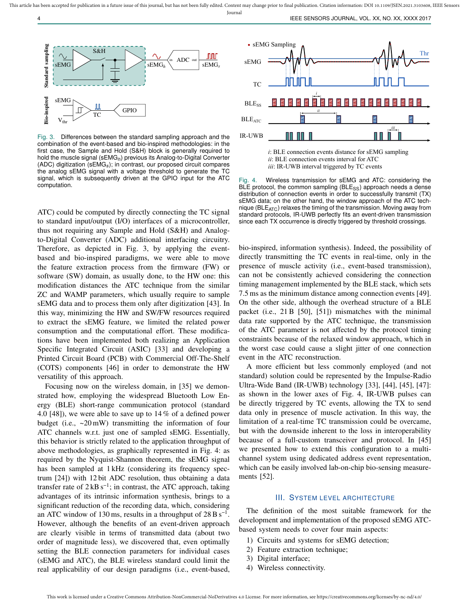Journal



Fig. 3. Differences between the standard sampling approach and the combination of the event-based and bio-inspired methodologies: in the first case, the Sample and Hold (S&H) block is generally required to hold the muscle signal (sEMG*h*) previous its Analog-to-Digital Converter (ADC) digitization (sEMG*s*); in contrast, our proposed circuit compares the analog sEMG signal with a voltage threshold to generate the TC signal, which is subsequently driven at the GPIO input for the ATC computation.

ATC) could be computed by directly connecting the TC signal to standard input/output (I/O) interfaces of a microcontroller, thus not requiring any Sample and Hold (S&H) and Analogto-Digital Converter (ADC) additional interfacing circuitry. Therefore, as depicted in Fig. 3, by applying the eventbased and bio-inspired paradigms, we were able to move the feature extraction process from the firmware (FW) or software (SW) domain, as usually done, to the HW one: this modification distances the ATC technique from the similar ZC and WAMP parameters, which usually require to sample sEMG data and to process them only after digitization [43]. In this way, minimizing the HW and SW/FW resources required to extract the sEMG feature, we limited the related power consumption and the computational effort. These modifications have been implemented both realizing an Application Specific Integrated Circuit (ASIC) [33] and developing a Printed Circuit Board (PCB) with Commercial Off-The-Shelf (COTS) components [46] in order to demonstrate the HW versatility of this approach.

Focusing now on the wireless domain, in [35] we demonstrated how, employing the widespread Bluetooth Low Energy (BLE) short-range communication protocol (standard 4.0 [48]), we were able to save up to 14 % of a defined power budget (i.e.,  $\sim 20 \text{ mW}$ ) transmitting the information of four ATC channels w.r.t. just one of sampled sEMG. Essentially, this behavior is strictly related to the application throughput of above methodologies, as graphically represented in Fig. 4: as required by the Nyquist-Shannon theorem, the sEMG signal has been sampled at 1 kHz (considering its frequency spectrum [24]) with 12 bit ADC resolution, thus obtaining a data transfer rate of  $2 \text{ kB s}^{-1}$ ; in contrast, the ATC approach, taking advantages of its intrinsic information synthesis, brings to a significant reduction of the recording data, which, considering an ATC window of 130 ms, results in a throughput of  $28 B s^{-1}$ . However, although the benefits of an event-driven approach are clearly visible in terms of transmitted data (about two order of magnitude less), we discovered that, even optimally setting the BLE connection parameters for individual cases (sEMG and ATC), the BLE wireless standard could limit the real applicability of our design paradigms (i.e., event-based,



*i*: BLE connection events distance for sEMG sampling *ii*: BLE connection events interval for ATC *iii*: IR-UWB interval triggered by TC events

Fig. 4. Wireless transmission for sEMG and ATC: considering the BLE protocol, the common sampling  $(BLE_{SS})$  approach needs a dense distribution of connection events in order to successfully transmit (TX) sEMG data; on the other hand, the window approach of the ATC technique ( $BLE_{ATC}$ ) relaxes the timing of the transmission. Moving away from standard protocols, IR-UWB perfectly fits an event-driven transmission since each TX occurrence is directly triggered by threshold crossings.

bio-inspired, information synthesis). Indeed, the possibility of directly transmitting the TC events in real-time, only in the presence of muscle activity (i.e., event-based transmission), can not be consistently achieved considering the connection timing management implemented by the BLE stack, which sets 7.5 ms as the minimum distance among connection events [49]. On the other side, although the overhead structure of a BLE packet (i.e., 21 B [50], [51]) mismatches with the minimal data rate supported by the ATC technique, the transmission of the ATC parameter is not affected by the protocol timing constraints because of the relaxed window approach, which in the worst case could cause a slight jitter of one connection event in the ATC reconstruction.

A more efficient but less commonly employed (and not standard) solution could be represented by the Impulse-Radio Ultra-Wide Band (IR-UWB) technology [33], [44], [45], [47]: as shown in the lower axes of Fig. 4, IR-UWB pulses can be directly triggered by TC events, allowing the TX to send data only in presence of muscle activation. In this way, the limitation of a real-time TC transmission could be overcame, but with the downside inherent to the loss in interoperability because of a full-custom transceiver and protocol. In [45] we presented how to extend this configuration to a multichannel system using dedicated address event representation, which can be easily involved lab-on-chip bio-sensing measurements [52].

#### III. SYSTEM LEVEL ARCHITECTURE

The definition of the most suitable framework for the development and implementation of the proposed sEMG ATCbased system needs to cover four main aspects:

- 1) Circuits and systems for sEMG detection;
- 2) Feature extraction technique;
- 3) Digital interface;
- 4) Wireless connectivity.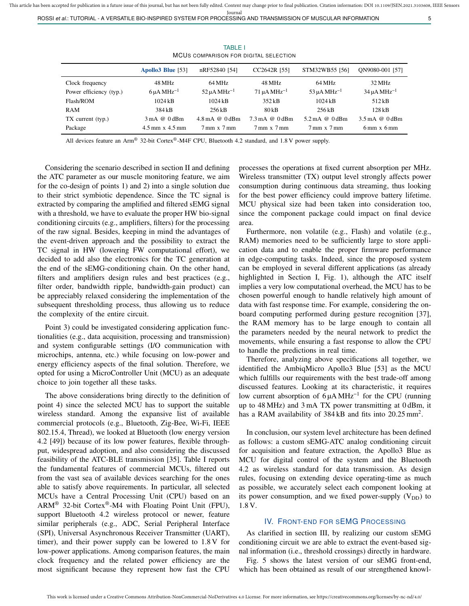ROSSI *et al.*: TUTORIAL - A VERSATILE BIO-INSPIRED SYSTEM FOR PROCESSING AND TRANSMISSION OF MUSCULAR INFORMATION 5

| MCUS COMPARISON FOR DIGITAL SELECTION |                                |                                    |                                    |                                    |                                 |  |  |  |
|---------------------------------------|--------------------------------|------------------------------------|------------------------------------|------------------------------------|---------------------------------|--|--|--|
|                                       | Apollo3 Blue [53]              | nRF52840 [54]                      | CC2642R [55]                       | STM32WB55 [56]                     | ON9080-001 [57]                 |  |  |  |
| Clock frequency                       | 48 MHz                         | 64 MHz                             | 48 MHz                             | 64 MHz                             | 32 MHz                          |  |  |  |
| Power efficiency (typ.)               | $6 \mu A \text{ MHz}^{-1}$     | $52 \mu A \text{ MHz}^{-1}$        | $71 \mu A \text{ MHz}^{-1}$        | $53 \mu A \text{ MHz}^{-1}$        | $34 \mu A \text{ MHz}^{-1}$     |  |  |  |
| Flash/ROM                             | 1024kB                         | 1024kB                             | 352kB                              | $1024$ kB                          | 512kB                           |  |  |  |
| RAM                                   | 384 kB                         | 256kB                              | 80 kB                              | 256kB                              | $128$ kB                        |  |  |  |
| $TX$ current $(typ.)$                 | $3 \text{ mA} @ 0 \text{ dBm}$ | $4.8 \text{ mA}$ @ 0 dBm           | $7.3 \text{ mA}$ @ 0 dBm           | $5.2 \,\mathrm{mA}$ @ 0 dBm        | $3.5 \text{ mA}$ @ 0 dBm        |  |  |  |
| Package                               | $4.5$ mm $x$ $4.5$ mm          | $7 \text{ mm} \times 7 \text{ mm}$ | $7 \text{ mm} \times 7 \text{ mm}$ | $7 \text{ mm} \times 7 \text{ mm}$ | $6 \text{ mm}$ x $6 \text{ mm}$ |  |  |  |

TABLE I MCUS COMPARISON FOR DIGITAL SELECTION

All devices feature an Arm® 32-bit Cortex®-M4F CPU, Bluetooth 4.2 standard, and 1.8 V power supply.

Considering the scenario described in section II and defining the ATC parameter as our muscle monitoring feature, we aim for the co-design of points 1) and 2) into a single solution due to their strict symbiotic dependence. Since the TC signal is extracted by comparing the amplified and filtered sEMG signal with a threshold, we have to evaluate the proper HW bio-signal conditioning circuits (e.g., amplifiers, filters) for the processing of the raw signal. Besides, keeping in mind the advantages of the event-driven approach and the possibility to extract the TC signal in HW (lowering FW computational effort), we decided to add also the electronics for the TC generation at the end of the sEMG-conditioning chain. On the other hand, filters and amplifiers design rules and best practices (e.g., filter order, bandwidth ripple, bandwidth-gain product) can be appreciably relaxed considering the implementation of the subsequent thresholding process, thus allowing us to reduce the complexity of the entire circuit.

Point 3) could be investigated considering application functionalities (e.g., data acquisition, processing and transmission) and system configurable settings (I/O communication with microchips, antenna, etc.) while focusing on low-power and energy efficiency aspects of the final solution. Therefore, we opted for using a MicroController Unit (MCU) as an adequate choice to join together all these tasks.

The above considerations bring directly to the definition of point 4) since the selected MCU has to support the suitable wireless standard. Among the expansive list of available commercial protocols (e.g., Bluetooth, Zig-Bee, Wi-Fi, IEEE 802.15.4, Thread), we looked at Bluetooth (low energy version 4.2 [49]) because of its low power features, flexible throughput, widespread adoption, and also considering the discussed feasibility of the ATC-BLE transmission [35]. Table I reports the fundamental features of commercial MCUs, filtered out from the vast sea of available devices searching for the ones able to satisfy above requirements. In particular, all selected MCUs have a Central Processing Unit (CPU) based on an ARM® 32-bit Cortex®-M4 with Floating Point Unit (FPU), support Bluetooth 4.2 wireless protocol or newer, feature similar peripherals (e.g., ADC, Serial Peripheral Interface (SPI), Universal Asynchronous Receiver Transmitter (UART), timer), and their power supply can be lowered to 1.8 V for low-power applications. Among comparison features, the main clock frequency and the related power efficiency are the most significant because they represent how fast the CPU

processes the operations at fixed current absorption per MHz. Wireless transmitter (TX) output level strongly affects power consumption during continuous data streaming, thus looking for the best power efficiency could improve battery lifetime. MCU physical size had been taken into consideration too, since the component package could impact on final device area.

Furthermore, non volatile (e.g., Flash) and volatile (e.g., RAM) memories need to be sufficiently large to store application data and to enable the proper firmware performance in edge-computing tasks. Indeed, since the proposed system can be employed in several different applications (as already highlighted in Section I, Fig. 1), although the ATC itself implies a very low computational overhead, the MCU has to be chosen powerful enough to handle relatively high amount of data with fast response time. For example, considering the onboard computing performed during gesture recognition [37], the RAM memory has to be large enough to contain all the parameters needed by the neural network to predict the movements, while ensuring a fast response to allow the CPU to handle the predictions in real time.

Therefore, analyzing above specifications all together, we identified the AmbiqMicro Apollo3 Blue [53] as the MCU which fulfills our requirements with the best trade-off among discussed features. Looking at its characteristic, it requires low current absorption of 6 μA MHz<sup>-1</sup> for the CPU (running up to 48 MHz) and 3 mA TX power transmitting at 0 dBm, it has a RAM availability of  $384 \text{ kB}$  and fits into  $20.25 \text{ mm}^2$ .

In conclusion, our system level architecture has been defined as follows: a custom sEMG-ATC analog conditioning circuit for acquisition and feature extraction, the Apollo3 Blue as MCU for digital control of the system and the Bluetooth 4.2 as wireless standard for data transmission. As design rules, focusing on extending device operating-time as much as possible, we accurately select each component looking at its power consumption, and we fixed power-supply  $(V_{DD})$  to 1.8 V.

#### IV. FRONT-END FOR SEMG PROCESSING

As clarified in section III, by realizing our custom sEMG conditioning circuit we are able to extract the event-based signal information (i.e., threshold crossings) directly in hardware.

Fig. 5 shows the latest version of our sEMG front-end, which has been obtained as result of our strengthened knowl-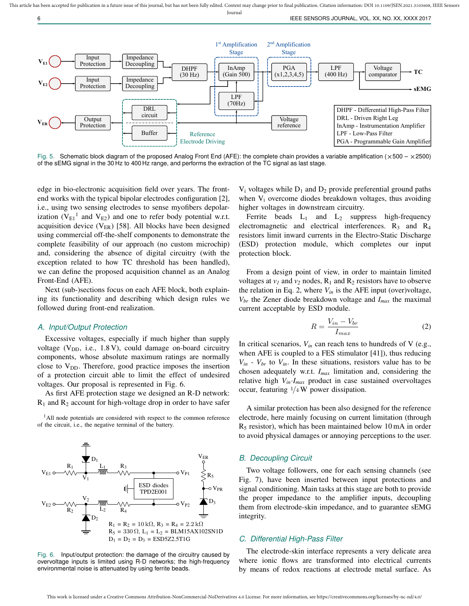

Fig. 5. Schematic block diagram of the proposed Analog Front End (AFE): the complete chain provides a variable amplification ( $\times$ 500 –  $\times$ 2500) of the sEMG signal in the 30 Hz to 400 Hz range, and performs the extraction of the TC signal as last stage.

edge in bio-electronic acquisition field over years. The frontend works with the typical bipolar electrodes configuration [2], i.e., using two sensing electrodes to sense myofibers depolarization ( $V_{E1}$ <sup>1</sup> and  $V_{E2}$ ) and one to refer body potential w.r.t. acquisition device  $(V_{ER})$  [58]. All blocks have been designed using commercial off-the-shelf components to demonstrate the complete feasibility of our approach (no custom microchip) and, considering the absence of digital circuitry (with the exception related to how TC threshold has been handled), we can define the proposed acquisition channel as an Analog Front-End (AFE).

Next (sub-)sections focus on each AFE block, both explaining its functionality and describing which design rules we followed during front-end realization.

# *A. Input/Output Protection*

Excessive voltages, especially if much higher than supply voltage  $(V_{DD}, i.e., 1.8 V)$ , could damage on-board circuitry components, whose absolute maximum ratings are normally close to  $V_{DD}$ . Therefore, good practice imposes the insertion of a protection circuit able to limit the effect of undesired voltages. Our proposal is represented in Fig. 6.

As first AFE protection stage we designed an R-D network:  $R_1$  and  $R_2$  account for high-voltage drop in order to have safer

<sup>1</sup>All node potentials are considered with respect to the common reference of the circuit, i.e., the negative terminal of the battery.



Fig. 6. Input/output protection: the damage of the circuitry caused by overvoltage inputs is limited using R-D networks; the high-frequency environmental noise is attenuated by using ferrite beads.

 $V_i$  voltages while  $D_1$  and  $D_2$  provide preferential ground paths when  $V_i$  overcome diodes breakdown voltages, thus avoiding higher voltages in downstream circuitry.

Ferrite beads  $L_1$  and  $L_2$  suppress high-frequency electromagnetic and electrical interferences.  $R_3$  and  $R_4$ resistors limit inward currents in the Electro-Static Discharge (ESD) protection module, which completes our input protection block.

From a design point of view, in order to maintain limited voltages at  $v_1$  and  $v_2$  nodes,  $R_1$  and  $R_2$  resistors have to observe the relation in Eq. 2, where  $V_{in}$  is the AFE input (over)voltage,  $V_{\text{br}}$  the Zener diode breakdown voltage and  $I_{\text{max}}$  the maximal current acceptable by ESD module.

$$
R = \frac{V_{in} - V_{br}}{I_{max}} \tag{2}
$$

In critical scenarios,  $V_{in}$  can reach tens to hundreds of V (e.g., when AFE is coupled to a FES stimulator [41]), thus reducing  $V_{in}$  *- V<sub>br</sub>* to  $V_{in}$ . In these situations, resistors value has to be chosen adequately w.r.t. *Imax* limitation and, considering the relative high  $V_{in} \cdot I_{max}$  product in case sustained overvoltages occur, featuring  $1/4$  W power dissipation.

A similar protection has been also designed for the reference electrode, here mainly focusing on current limitation (through  $R<sub>5</sub>$  resistor), which has been maintained below 10 mA in order to avoid physical damages or annoying perceptions to the user.

# *B. Decoupling Circuit*

Two voltage followers, one for each sensing channels (see Fig. 7), have been inserted between input protections and signal conditioning. Main tasks at this stage are both to provide the proper impedance to the amplifier inputs, decoupling them from electrode-skin impedance, and to guarantee sEMG integrity.

# *C. Differential High-Pass Filter*

The electrode-skin interface represents a very delicate area where ionic flows are transformed into electrical currents by means of redox reactions at electrode metal surface. As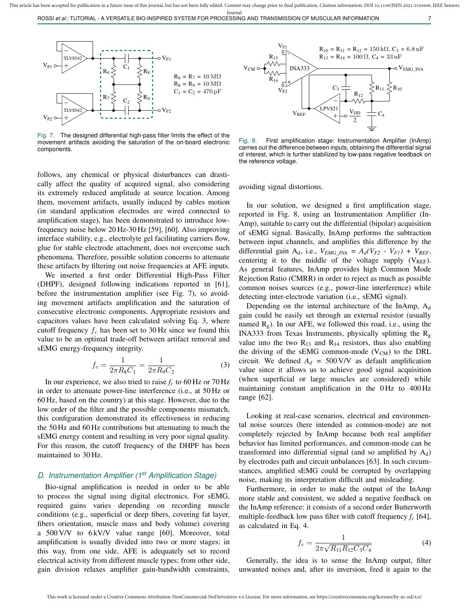

Fig. 7. The designed differential high-pass filter limits the effect of the movement artifacts avoiding the saturation of the on-board electronic components.

follows, any chemical or physical disturbances can drastically affect the quality of acquired signal, also considering its extremely reduced amplitude at source location. Among them, movement artifacts, usually induced by cables motion (in standard application electrodes are wired connected to amplification stage), has been demonstrated to introduce lowfrequency noise below 20 Hz-30 Hz [59], [60]. Also improving interface stability, e.g., electrolyte gel facilitating carriers flow, glue for stable electrode attachment, does not overcome such phenomena. Therefore, possible solution concerns to attenuate these artifacts by filtering out noise frequencies at AFE inputs.

We inserted a first order Differential High-Pass Filter (DHPF), designed following indications reported in [61], before the instrumentation amplifier (see Fig. 7), so avoiding movement artifacts amplification and the saturation of consecutive electronic components. Appropriate resistors and capacitors values have been calculated solving Eq. 3, where cutoff frequency  $f_c$  has been set to 30 Hz since we found this value to be an optimal trade-off between artifact removal and sEMG energy-frequency integrity.

$$
f_c = \frac{1}{2\pi R_8 C_1} = \frac{1}{2\pi R_9 C_2} \tag{3}
$$

In our experience, we also tried to raise  $f_c$  to 60 Hz or 70 Hz in order to attenuate power-line interference (i.e., at 50 Hz or 60 Hz, based on the country) at this stage. However, due to the low order of the filter and the possible components mismatch, this configuration demonstrated its effectiveness in reducing the 50 Hz and 60 Hz contributions but attenuating to much the sEMG energy content and resulting in very poor signal quality. For this reason, the cutoff frequency of the DHPF has been maintained to 30 Hz.

# *D. Instrumentation Amplifier (1st Amplification Stage)*

Bio-signal amplification is needed in order to be able to process the signal using digital electronics. For sEMG, required gains varies depending on recording muscle conditions (e.g., superficial or deep fibers, covering fat layer, fibers orientation, muscle mass and body volume) covering a 500 V/V to 6 kV/V value range [60]. Moreover, total amplification is usually divided into two or more stages: in this way, from one side, AFE is adequately set to record electrical activity from different muscle types; from other side, gain division relaxes amplifier gain-bandwidth constraints,



Fig. 8. First amplification stage: Instrumentation Amplifier (InAmp) carries out the difference between inputs, obtaining the differential signal of interest, which is further stabilized by low-pass negative feedback on the reference voltage.

avoiding signal distortions.

In our solution, we designed a first amplification stage, reported in Fig. 8, using an Instrumentation Amplifier (In-Amp), suitable to carry out the differential (bipolar) acquisition of sEMG signal. Basically, InAmp performs the subtraction between input channels, and amplifies this difference by the differential gain  $A_d$ , i.e.,  $V_{EMG_MN} = A_d(V_{F2} - V_{F1}) + V_{REF}$ , centering it to the middle of the voltage supply  $(V_{REF})$ . As general features, InAmp provides high Common Mode Rejection Ratio (CMRR) in order to reject as much as possible common noises sources (e.g., power-line interference) while detecting inter-electrode variation (i.e., sEMG signal).

Depending on the internal architecture of the InAmp,  $A_d$ gain could be easily set through an external resistor (usually named  $R<sub>g</sub>$ ). In our AFE, we followed this road, i.e., using the INA333 from Texas Instruments, physically splitting the  $R_{g}$ value into the two  $R_{13}$  and  $R_{14}$  resistors, thus also enabling the driving of the sEMG common-mode  $(V_{CM})$  to the DRL circuit. We defined  $A_d = 500 \text{ V/V}$  as default amplification value since it allows us to achieve good signal acquisition (when superficial or large muscles are considered) while maintaining constant amplification in the 0 Hz to 400 Hz range [62].

Looking at real-case scenarios, electrical and environmental noise sources (here intended as common-mode) are not completely rejected by InAmp because both real amplifier behavior has limited performances, and common-mode can be transformed into differential signal (and so amplified by  $A_d$ ) by electrodes path and circuit unbalances [63]. In such circumstances, amplified sEMG could be corrupted by overlapping noise, making its interpretation difficult and misleading.

Furthermore, in order to make the output of the InAmp more stable and consistent, we added a negative feedback on the InAmp reference: it consists of a second order Butterworth multiple-feedback low pass filter with cutoff frequency *f<sup>c</sup>* [64], as calculated in Eq. 4.

$$
f_c = \frac{1}{2\pi\sqrt{R_{11}R_{12}C_3C_4}}\tag{4}
$$

Generally, the idea is to sense the InAmp output, filter unwanted noises and, after its inversion, feed it again to the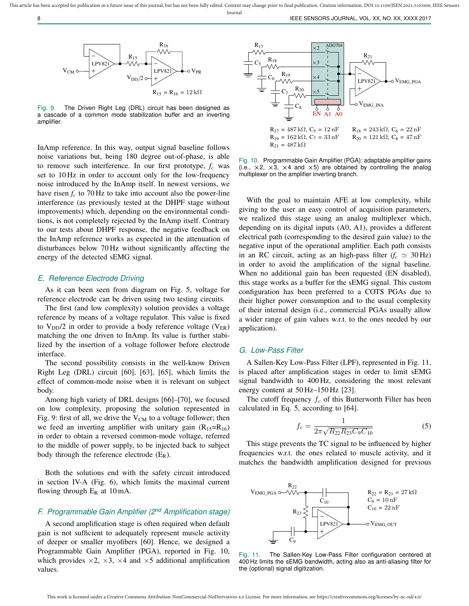

Fig. 9. The Driven Right Leg (DRL) circuit has been designed as a cascade of a common mode stabilization buffer and an inverting amplifier.

InAmp reference. In this way, output signal baseline follows noise variations but, being 180 degree out-of-phase, is able to remove such interference. In our first prototype, *f<sup>c</sup>* was set to 10 Hz in order to account only for the low-frequency noise introduced by the InAmp itself. In newest versions, we have risen  $f_c$  to 70 Hz to take into account also the power-line interference (as previously tested at the DHPF stage without improvements) which, depending on the environmental conditions, is not completely rejected by the InAmp itself. Contrary to our tests about DHPF response, the negative feedback on the InAmp reference works as expected in the attenuation of disturbances below 70 Hz without significantly affecting the energy of the detected sEMG signal.

#### *E. Reference Electrode Driving*

As it can been seen from diagram on Fig. 5, voltage for reference electrode can be driven using two testing circuits.

The first (and low complexity) solution provides a voltage reference by means of a voltage regulator. This value is fixed to  $V_{DD}/2$  in order to provide a body reference voltage ( $V_{ER}$ ) matching the one driven to InAmp. Its value is further stabilized by the insertion of a voltage follower before electrode interface.

The second possibility consists in the well-know Driven Right Leg (DRL) circuit [60], [63], [65], which limits the effect of common-mode noise when it is relevant on subject body.

Among high variety of DRL designs [66]–[70], we focused on low complexity, proposing the solution represented in Fig. 9: first of all, we drive the  $V_{CM}$  to a voltage follower; then we feed an inverting amplifier with unitary gain  $(R_{15}=R_{16})$ in order to obtain a reversed common-mode voltage, referred to the middle of power supply, to be injected back to subject body through the reference electrode  $(E_R)$ .

Both the solutions end with the safety circuit introduced in section IV-A (Fig. 6), which limits the maximal current flowing through  $E_R$  at 10 mA.

# *F. Programmable Gain Amplifier (2nd Amplification stage)*

A second amplification stage is often required when default gain is not sufficient to adequately represent muscle activity of deeper or smaller myofibers [60]. Hence, we designed a Programmable Gain Amplifier (PGA), reported in Fig. 10, which provides  $\times 2$ ,  $\times 3$ ,  $\times 4$  and  $\times 5$  additional amplification values.



Fig. 10. Programmable Gain Amplifier (PGA): adaptable amplifier gains (i.e.,  $\times$ 2,  $\times$ 3,  $\times$ 4 and  $\times$ 5) are obtained by controlling the analog multiplexer on the amplifier inverting branch.

With the goal to maintain AFE at low complexity, while giving to the user an easy control of acquisition parameters, we realized this stage using an analog multiplexer which, depending on its digital inputs (A0, A1), provides a different electrical path (corresponding to the desired gain value) to the negative input of the operational amplifier. Each path consists in an RC circuit, acting as an high-pass filter  $(f_c \simeq 30 \text{ Hz})$ in order to avoid the amplification of the signal baseline. When no additional gain has been requested (EN disabled), this stage works as a buffer for the sEMG signal. This custom configuration has been preferred to a COTS PGAs due to their higher power consumption and to the usual complexity of their internal design (i.e., commercial PGAs usually allow a wider range of gain values w.r.t. to the ones needed by our application).

#### *G. Low-Pass Filter*

A Sallen-Key Low-Pass Filter (LPF), represented in Fig. 11, is placed after amplification stages in order to limit sEMG signal bandwidth to 400 Hz, considering the most relevant energy content at 50 Hz–150 Hz [23].

The cutoff frequency  $f_c$  of this Butterworth Filter has been calculated in Eq. 5, according to [64].

$$
f_c = \frac{1}{2\pi\sqrt{R_{22}R_{23}C_9C_{10}}}
$$
\n(5)

This stage prevents the TC signal to be influenced by higher frequencies w.r.t. the ones related to muscle activity, and it matches the bandwidth amplification designed for previous



Fig. 11. The Sallen-Key Low-Pass Filter configuration centered at 400 Hz limits the sEMG bandwidth, acting also as anti-aliasing filter for the (optional) signal digitization.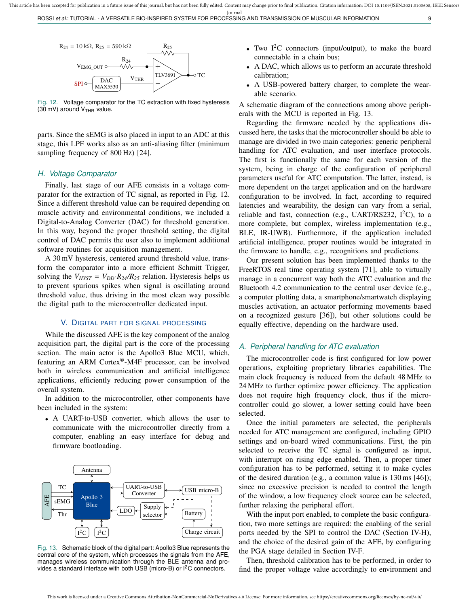ROSSI *et al.*: TUTORIAL - A VERSATILE BIO-INSPIRED SYSTEM FOR PROCESSING AND TRANSMISSION OF MUSCULAR INFORMATION 9



Fig. 12. Voltage comparator for the TC extraction with fixed hysteresis (30 mV) around  $V<sub>THR</sub>$  value.

parts. Since the sEMG is also placed in input to an ADC at this stage, this LPF works also as an anti-aliasing filter (minimum sampling frequency of 800 Hz) [24].

#### *H. Voltage Comparator*

Finally, last stage of our AFE consists in a voltage comparator for the extraction of TC signal, as reported in Fig. 12. Since a different threshold value can be required depending on muscle activity and environmental conditions, we included a Digital-to-Analog Converter (DAC) for threshold generation. In this way, beyond the proper threshold setting, the digital control of DAC permits the user also to implement additional software routines for acquisition management.

A 30 mV hysteresis, centered around threshold value, transform the comparator into a more efficient Schmitt Trigger, solving the  $V_{HYST} = V_{DD} \cdot R_{24} / R_{25}$  relation. Hysteresis helps us to prevent spurious spikes when signal is oscillating around threshold value, thus driving in the most clean way possible the digital path to the microcontroller dedicated input.

#### V. DIGITAL PART FOR SIGNAL PROCESSING

While the discussed AFE is the key component of the analog acquisition part, the digital part is the core of the processing section. The main actor is the Apollo3 Blue MCU, which, featuring an ARM Cortex®-M4F processor, can be involved both in wireless communication and artificial intelligence applications, efficiently reducing power consumption of the overall system.

In addition to the microcontroller, other components have been included in the system:

• A UART-to-USB converter, which allows the user to communicate with the microcontroller directly from a computer, enabling an easy interface for debug and firmware bootloading.



Fig. 13. Schematic block of the digital part: Apollo3 Blue represents the central core of the system, which processes the signals from the AFE, manages wireless communication through the BLE antenna and provides a standard interface with both USB (micro-B) or  $l^2C$  connectors.

- Two  $I^2C$  connectors (input/output), to make the board connectable in a chain bus;
- A DAC, which allows us to perform an accurate threshold calibration;
- A USB-powered battery charger, to complete the wearable scenario.

A schematic diagram of the connections among above peripherals with the MCU is reported in Fig. 13.

Regarding the firmware needed by the applications discussed here, the tasks that the microcontroller should be able to manage are divided in two main categories: generic peripheral handling for ATC evaluation, and user interface protocols. The first is functionally the same for each version of the system, being in charge of the configuration of peripheral parameters useful for ATC computation. The latter, instead, is more dependent on the target application and on the hardware configuration to be involved. In fact, according to required latencies and wearability, the design can vary from a serial, reliable and fast, connection (e.g., UART/RS232,  $I^2C$ ), to a more complete, but complex, wireless implementation (e.g., BLE, IR-UWB). Furthermore, if the application included artificial intelligence, proper routines would be integrated in the firmware to handle, e.g., recognitions and predictions.

Our present solution has been implemented thanks to the FreeRTOS real time operating system [71], able to virtually manage in a concurrent way both the ATC evaluation and the Bluetooth 4.2 communication to the central user device (e.g., a computer plotting data, a smartphone/smartwatch displaying muscles activation, an actuator performing movements based on a recognized gesture [36]), but other solutions could be equally effective, depending on the hardware used.

#### *A. Peripheral handling for ATC evaluation*

The microcontroller code is first configured for low power operations, exploiting proprietary libraries capabilities. The main clock frequency is reduced from the default 48 MHz to 24 MHz to further optimize power efficiency. The application does not require high frequency clock, thus if the microcontroller could go slower, a lower setting could have been selected.

Once the initial parameters are selected, the peripherals needed for ATC management are configured, including GPIO settings and on-board wired communications. First, the pin selected to receive the TC signal is configured as input, with interrupt on rising edge enabled. Then, a proper timer configuration has to be performed, setting it to make cycles of the desired duration (e.g., a common value is 130 ms [46]); since no excessive precision is needed to control the length of the window, a low frequency clock source can be selected, further relaxing the peripheral effort.

With the input port enabled, to complete the basic configuration, two more settings are required: the enabling of the serial ports needed by the SPI to control the DAC (Section IV-H), and the choice of the desired gain of the AFE, by configuring the PGA stage detailed in Section IV-F.

Then, threshold calibration has to be performed, in order to find the proper voltage value accordingly to environment and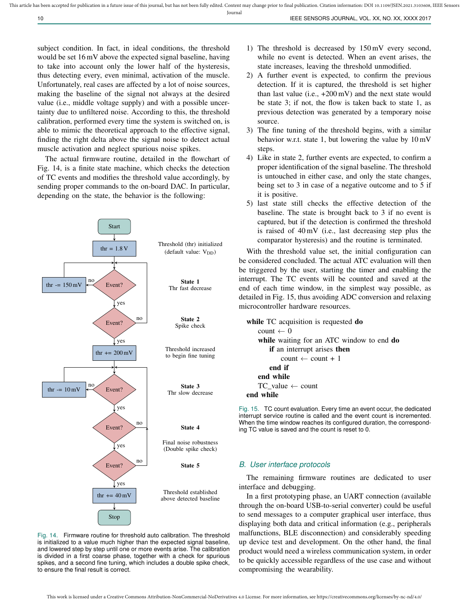subject condition. In fact, in ideal conditions, the threshold would be set 16 mV above the expected signal baseline, having to take into account only the lower half of the hysteresis, thus detecting every, even minimal, activation of the muscle. Unfortunately, real cases are affected by a lot of noise sources, making the baseline of the signal not always at the desired value (i.e., middle voltage supply) and with a possible uncertainty due to unfiltered noise. According to this, the threshold calibration, performed every time the system is switched on, is able to mimic the theoretical approach to the effective signal, finding the right delta above the signal noise to detect actual muscle activation and neglect spurious noise spikes.

The actual firmware routine, detailed in the flowchart of Fig. 14, is a finite state machine, which checks the detection of TC events and modifies the threshold value accordingly, by sending proper commands to the on-board DAC. In particular, depending on the state, the behavior is the following:



Fig. 14. Firmware routine for threshold auto calibration. The threshold is initialized to a value much higher than the expected signal baseline, and lowered step by step until one or more events arise. The calibration is divided in a first coarse phase, together with a check for spurious spikes, and a second fine tuning, which includes a double spike check, to ensure the final result is correct.

- 1) The threshold is decreased by 150 mV every second, while no event is detected. When an event arises, the state increases, leaving the threshold unmodified.
- 2) A further event is expected, to confirm the previous detection. If it is captured, the threshold is set higher than last value (i.e.,  $+200 \text{ mV}$ ) and the next state would be state 3; if not, the flow is taken back to state 1, as previous detection was generated by a temporary noise source.
- 3) The fine tuning of the threshold begins, with a similar behavior w.r.t. state 1, but lowering the value by 10 mV steps.
- 4) Like in state 2, further events are expected, to confirm a proper identification of the signal baseline. The threshold is untouched in either case, and only the state changes, being set to 3 in case of a negative outcome and to 5 if it is positive.
- 5) last state still checks the effective detection of the baseline. The state is brought back to 3 if no event is captured, but if the detection is confirmed the threshold is raised of 40 mV (i.e., last decreasing step plus the comparator hysteresis) and the routine is terminated.

With the threshold value set, the initial configuration can be considered concluded. The actual ATC evaluation will then be triggered by the user, starting the timer and enabling the interrupt. The TC events will be counted and saved at the end of each time window, in the simplest way possible, as detailed in Fig. 15, thus avoiding ADC conversion and relaxing microcontroller hardware resources.

```
while TC acquisition is requested do
    count \leftarrow 0
    while waiting for an ATC window to end do
       if an interrupt arises then
           count \leftarrow count + 1end if
    end while
    TC_value ← count
end while
```
Fig. 15. TC count evaluation. Every time an event occur, the dedicated interrupt service routine is called and the event count is incremented. When the time window reaches its configured duration, the corresponding TC value is saved and the count is reset to 0.

# *B. User interface protocols*

The remaining firmware routines are dedicated to user interface and debugging.

In a first prototyping phase, an UART connection (available through the on-board USB-to-serial converter) could be useful to send messages to a computer graphical user interface, thus displaying both data and critical information (e.g., peripherals malfunctions, BLE disconnection) and considerably speeding up device test and development. On the other hand, the final product would need a wireless communication system, in order to be quickly accessible regardless of the use case and without compromising the wearability.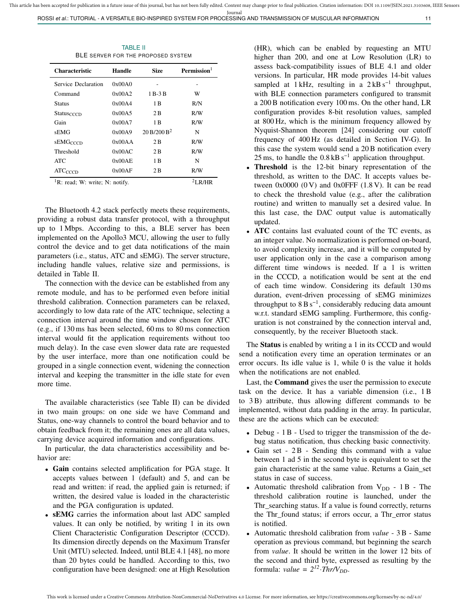TABLE II BLE SERVER FOR THE PROPOSED SYSTEM

| <b>Characteristic</b>                         | Handle | <b>Size</b>             | <b>Permission</b> |  |  |
|-----------------------------------------------|--------|-------------------------|-------------------|--|--|
| Service Declaration                           | 0x00A0 |                         |                   |  |  |
| Command                                       | 0x00A2 | 1 B-3 B                 | W                 |  |  |
| Status                                        | 0x00A4 | 1 B                     | R/N               |  |  |
| $Status_{CCCD}$                               | 0x00A5 | 2 B                     | R/W               |  |  |
| Gain                                          | 0x00A7 | 1 B                     | R/W               |  |  |
| sEMG                                          | 0x00A9 | 20 B/200 B <sup>2</sup> | N                 |  |  |
| <b>sEMGCCCD</b>                               | 0x00AA | 2 B                     | R/W               |  |  |
| Threshold                                     | 0x00AC | 2 B                     | R/W               |  |  |
| <b>ATC</b>                                    | 0x00AE | 1 B                     | N                 |  |  |
| $ATC_{CCCD}$                                  | 0x00AF | 2 B                     | R/W               |  |  |
| $1\,\mathrm{D}$ , annal, Wh muith, My motify, |        |                         | $2r$ n $n$ $rn$   |  |  |

R: read; W: write; N: notify. 2LR/HR

The Bluetooth 4.2 stack perfectly meets these requirements, providing a robust data transfer protocol, with a throughput up to 1 Mbps. According to this, a BLE server has been implemented on the Apollo3 MCU, allowing the user to fully control the device and to get data notifications of the main parameters (i.e., status, ATC and sEMG). The server structure, including handle values, relative size and permissions, is detailed in Table II.

The connection with the device can be established from any remote module, and has to be performed even before initial threshold calibration. Connection parameters can be relaxed, accordingly to low data rate of the ATC technique, selecting a connection interval around the time window chosen for ATC (e.g., if 130 ms has been selected, 60 ms to 80 ms connection interval would fit the application requirements without too much delay). In the case even slower data rate are requested by the user interface, more than one notification could be grouped in a single connection event, widening the connection interval and keeping the transmitter in the idle state for even more time.

The available characteristics (see Table II) can be divided in two main groups: on one side we have Command and Status, one-way channels to control the board behavior and to obtain feedback from it; the remaining ones are all data values, carrying device acquired information and configurations.

In particular, the data characteristics accessibility and behavior are:

- Gain contains selected amplification for PGA stage. It accepts values between 1 (default) and 5, and can be read and written: if read, the applied gain is returned; if written, the desired value is loaded in the characteristic and the PGA configuration is updated.
- **sEMG** carries the information about last ADC sampled values. It can only be notified, by writing 1 in its own Client Characteristic Configuration Descriptor (CCCD). Its dimension directly depends on the Maximum Transfer Unit (MTU) selected. Indeed, until BLE 4.1 [48], no more than 20 bytes could be handled. According to this, two configuration have been designed: one at High Resolution

(HR), which can be enabled by requesting an MTU higher than 200, and one at Low Resolution (LR) to assess back-compatibility issues of BLE 4.1 and older versions. In particular, HR mode provides 14-bit values sampled at 1 kHz, resulting in a  $2$  kB s<sup>-1</sup> throughput, with BLE connection parameters configured to transmit a 200 B notification every 100 ms. On the other hand, LR configuration provides 8-bit resolution values, sampled at 800 Hz, which is the minimum frequency allowed by Nyquist-Shannon theorem [24] considering our cutoff frequency of 400 Hz (as detailed in Section IV-G). In this case the system would send a 20 B notification every 25 ms, to handle the  $0.8$  kB s<sup>-1</sup> application throughput.

- Threshold is the 12-bit binary representation of the threshold, as written to the DAC. It accepts values between  $0x0000$   $(0 V)$  and  $0x0$ FFF  $(1.8 V)$ . It can be read to check the threshold value (e.g., after the calibration routine) and written to manually set a desired value. In this last case, the DAC output value is automatically updated.
- ATC contains last evaluated count of the TC events, as an integer value. No normalization is performed on-board, to avoid complexity increase, and it will be computed by user application only in the case a comparison among different time windows is needed. If a 1 is written in the CCCD, a notification would be sent at the end of each time window. Considering its default 130 ms duration, event-driven processing of sEMG minimizes throughput to  $8 B s^{-1}$ , considerably reducing data amount w.r.t. standard sEMG sampling. Furthermore, this configuration is not constrained by the connection interval and, consequently, by the receiver Bluetooth stack.

The Status is enabled by writing a 1 in its CCCD and would send a notification every time an operation terminates or an error occurs. Its idle value is 1, while 0 is the value it holds when the notifications are not enabled.

Last, the Command gives the user the permission to execute task on the device. It has a variable dimension (i.e., 1 B to 3 B) attribute, thus allowing different commands to be implemented, without data padding in the array. In particular, these are the actions which can be executed:

- Debug 1 B Used to trigger the transmission of the debug status notification, thus checking basic connectivity.
- Gain set 2 B Sending this command with a value between 1 ad 5 in the second byte is equivalent to set the gain characteristic at the same value. Returns a Gain\_set status in case of success.
- Automatic threshold calibration from  $V_{DD} 1B$  The threshold calibration routine is launched, under the Thr\_searching status. If a value is found correctly, returns the Thr\_found status; if errors occur, a Thr\_error status is notified.
- Automatic threshold calibration from *value* 3 B Same operation as previous command, but beginning the search from *value*. It should be written in the lower 12 bits of the second and third byte, expressed as resulting by the formula:  $value = 2^{12} \cdot Thr/V_{DD}$ .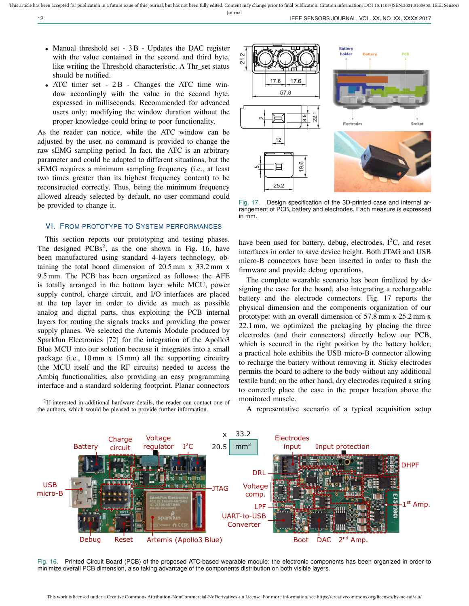- Manual threshold set 3 B Updates the DAC register with the value contained in the second and third byte, like writing the Threshold characteristic. A Thr\_set status should be notified.
- ATC timer set 2B Changes the ATC time window accordingly with the value in the second byte, expressed in milliseconds. Recommended for advanced users only: modifying the window duration without the proper knowledge could bring to poor functionality.

As the reader can notice, while the ATC window can be adjusted by the user, no command is provided to change the raw sEMG sampling period. In fact, the ATC is an arbitrary parameter and could be adapted to different situations, but the sEMG requires a minimum sampling frequency (i.e., at least two times greater than its highest frequency content) to be reconstructed correctly. Thus, being the minimum frequency allowed already selected by default, no user command could be provided to change it.

# VI. FROM PROTOTYPE TO SYSTEM PERFORMANCES

This section reports our prototyping and testing phases. The designed  $PCBs^2$ , as the one shown in Fig. 16, have been manufactured using standard 4-layers technology, obtaining the total board dimension of 20.5 mm x 33.2 mm x 9.5 mm. The PCB has been organized as follows: the AFE is totally arranged in the bottom layer while MCU, power supply control, charge circuit, and I/O interfaces are placed at the top layer in order to divide as much as possible analog and digital parts, thus exploiting the PCB internal layers for routing the signals tracks and providing the power supply planes. We selected the Artemis Module produced by Sparkfun Electronics [72] for the integration of the Apollo3 Blue MCU into our solution because it integrates into a small package (i.e., 10 mm x 15 mm) all the supporting circuitry (the MCU itself and the RF circuits) needed to access the Ambiq functionalities, also providing an easy programming interface and a standard soldering footprint. Planar connectors

<sup>2</sup>If interested in additional hardware details, the reader can contact one of the authors, which would be pleased to provide further information.



Fig. 17. Design specification of the 3D-printed case and internal arrangement of PCB, battery and electrodes. Each measure is expressed in mm.

have been used for battery, debug, electrodes,  $I^2C$ , and reset interfaces in order to save device height. Both JTAG and USB micro-B connectors have been inserted in order to flash the firmware and provide debug operations.

The complete wearable scenario has been finalized by designing the case for the board, also integrating a rechargeable battery and the electrode connectors. Fig. 17 reports the physical dimension and the components organization of our prototype: with an overall dimension of 57.8 mm x 25.2 mm x 22.1 mm, we optimized the packaging by placing the three electrodes (and their connectors) directly below our PCB, which is secured in the right position by the battery holder; a practical hole exhibits the USB micro-B connector allowing to recharge the battery without removing it. Sticky electrodes permits the board to adhere to the body without any additional textile band; on the other hand, dry electrodes required a string to correctly place the case in the proper location above the monitored muscle.

A representative scenario of a typical acquisition setup



Fig. 16. Printed Circuit Board (PCB) of the proposed ATC-based wearable module: the electronic components has been organized in order to minimize overall PCB dimension, also taking advantage of the components distribution on both visible layers.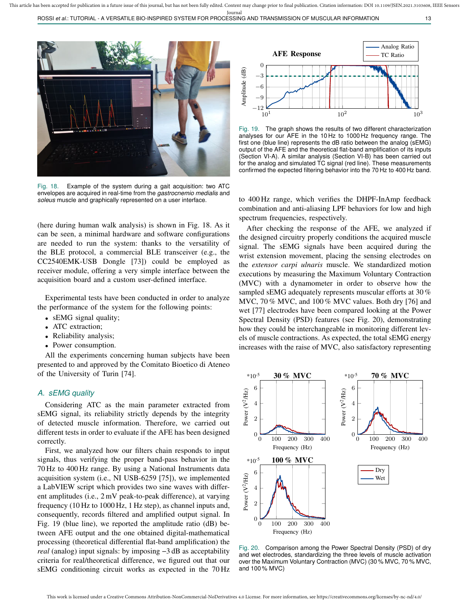This article has been accepted for publication in a future issue of this journal, but has not been fully edited. Content may change prior to final publication. Citation information: DOI 10.1109/JSEN.2021.3103608, IEEE Sens Journal

ROSSI *et al.*: TUTORIAL - A VERSATILE BIO-INSPIRED SYSTEM FOR PROCESSING AND TRANSMISSION OF MUSCULAR INFORMATION 13



Fig. 18. Example of the system during a gait acquisition: two ATC envelopes are acquired in real-time from the *gastrocnemio medialis* and *soleus* muscle and graphically represented on a user interface.

(here during human walk analysis) is shown in Fig. 18. As it can be seen, a minimal hardware and software configurations are needed to run the system: thanks to the versatility of the BLE protocol, a commercial BLE transceiver (e.g., the CC2540EMK-USB Dongle [73]) could be employed as receiver module, offering a very simple interface between the acquisition board and a custom user-defined interface.

Experimental tests have been conducted in order to analyze the performance of the system for the following points:

- sEMG signal quality;
- ATC extraction;
- Reliability analysis;
- Power consumption.

All the experiments concerning human subjects have been presented to and approved by the Comitato Bioetico di Ateneo of the University of Turin [74].

#### *A. sEMG quality*

Considering ATC as the main parameter extracted from sEMG signal, its reliability strictly depends by the integrity of detected muscle information. Therefore, we carried out different tests in order to evaluate if the AFE has been designed correctly.

First, we analyzed how our filters chain responds to input signals, thus verifying the proper band-pass behavior in the 70 Hz to 400 Hz range. By using a National Instruments data acquisition system (i.e., NI USB-6259 [75]), we implemented a LabVIEW script which provides two sine waves with different amplitudes (i.e., 2 mV peak-to-peak difference), at varying frequency (10 Hz to 1000 Hz, 1 Hz step), as channel inputs and, consequently, records filtered and amplified output signal. In Fig. 19 (blue line), we reported the amplitude ratio (dB) between AFE output and the one obtained digital-mathematical processing (theoretical differential flat-band amplification) the *real* (analog) input signals: by imposing −3 dB as acceptability criteria for real/theoretical difference, we figured out that our sEMG conditioning circuit works as expected in the 70 Hz



Fig. 19. The graph shows the results of two different characterization analyses for our AFE in the 10 Hz to 1000 Hz frequency range. The first one (blue line) represents the dB ratio between the analog (sEMG) output of the AFE and the theoretical flat-band amplification of its inputs (Section VI-A). A similar analysis (Section VI-B) has been carried out for the analog and simulated TC signal (red line). These measurements confirmed the expected filtering behavior into the 70 Hz to 400 Hz band.

to 400 Hz range, which verifies the DHPF-InAmp feedback combination and anti-aliasing LPF behaviors for low and high spectrum frequencies, respectively.

After checking the response of the AFE, we analyzed if the designed circuitry properly conditions the acquired muscle signal. The sEMG signals have been acquired during the wrist extension movement, placing the sensing electrodes on the *extensor carpi ulnaris* muscle. We standardized motion executions by measuring the Maximum Voluntary Contraction (MVC) with a dynamometer in order to observe how the sampled sEMG adequately represents muscular efforts at 30 % MVC, 70 % MVC, and 100 % MVC values. Both dry [76] and wet [77] electrodes have been compared looking at the Power Spectral Density (PSD) features (see Fig. 20), demonstrating how they could be interchangeable in monitoring different levels of muscle contractions. As expected, the total sEMG energy increases with the raise of MVC, also satisfactory representing



Fig. 20. Comparison among the Power Spectral Density (PSD) of dry and wet electrodes, standardizing the three levels of muscle activation over the Maximum Voluntary Contraction (MVC) (30 % MVC, 70 % MVC, and 100 % MVC)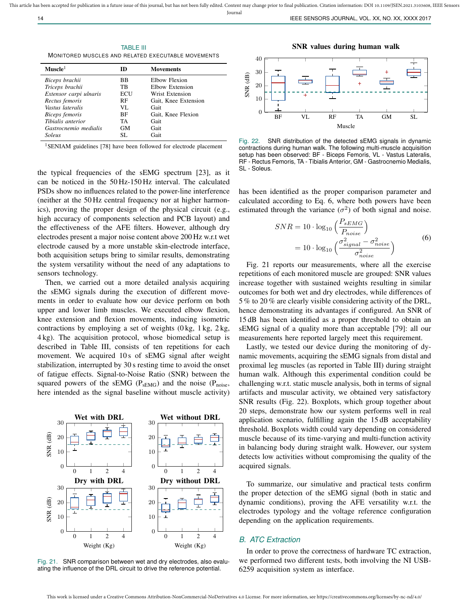TABLE III MONITORED MUSCLES AND RELATED EXECUTABLE MOVEMENTS

| $Mn$ scle $1$          | ID        | <b>Movements</b>     |
|------------------------|-----------|----------------------|
| Biceps brachii         | BB        | Elbow Flexion        |
| Triceps brachii        | TВ        | Elbow Extension      |
| Extensor carpi ulnaris | ECU       | Wrist Extension      |
| Rectus femoris         | RF        | Gait, Knee Extension |
| Vastus lateralis       | VL.       | Gait                 |
| Biceps femoris         | BF        | Gait, Knee Flexion   |
| Tibialis anterior      | TA        | Gait                 |
| Gastrocnemio medialis  | <b>GM</b> | Gait                 |
| Soleus                 | SL.       | Gait                 |

<sup>1</sup>SENIAM guidelines [78] have been followed for electrode placement

the typical frequencies of the sEMG spectrum [23], as it can be noticed in the 50 Hz-150 Hz interval. The calculated PSDs show no influences related to the power-line interference (neither at the 50 Hz central frequency nor at higher harmonics), proving the proper design of the physical circuit (e.g., high accuracy of components selection and PCB layout) and the effectiveness of the AFE filters. However, although dry electrodes present a major noise content above 200 Hz w.r.t wet electrode caused by a more unstable skin-electrode interface, both acquisition setups bring to similar results, demonstrating the system versatility without the need of any adaptations to sensors technology.

Then, we carried out a more detailed analysis acquiring the sEMG signals during the execution of different movements in order to evaluate how our device perform on both upper and lower limb muscles. We executed elbow flexion, knee extension and flexion movements, inducing isometric contractions by employing a set of weights  $(0 \text{ kg}, 1 \text{ kg}, 2 \text{ kg},$ 4 kg). The acquisition protocol, whose biomedical setup is described in Table III, consists of ten repetitions for each movement. We acquired 10s of sEMG signal after weight stabilization, interrupted by 30 s resting time to avoid the onset of fatigue effects. Signal-to-Noise Ratio (SNR) between the squared powers of the sEMG ( $P_{sEMG}$ ) and the noise ( $P_{noise}$ , here intended as the signal baseline without muscle activity)



Fig. 21. SNR comparison between wet and dry electrodes, also evaluating the influence of the DRL circuit to drive the reference potential.

SNR values during human walk



Fig. 22. SNR distribution of the detected sEMG signals in dynamic contractions during human walk. The following multi-muscle acquisition setup has been observed: BF - Biceps Femoris, VL - Vastus Lateralis, RF - Rectus Femoris, TA - Tibialis Anterior, GM - Gastrocnemio Medialis, SL - Soleus.

has been identified as the proper comparison parameter and calculated according to Eq. 6, where both powers have been estimated through the variance  $(\sigma^2)$  of both signal and noise.

$$
SNR = 10 \cdot \log_{10} \left( \frac{P_{sEMG}}{P_{noise}} \right)
$$

$$
= 10 \cdot \log_{10} \left( \frac{\sigma_{signal}^{2} - \sigma_{noise}^{2}}{\sigma_{noise}^{2}} \right)
$$
(6)

Fig. 21 reports our measurements, where all the exercise repetitions of each monitored muscle are grouped: SNR values increase together with sustained weights resulting in similar outcomes for both wet and dry electrodes, while differences of 5 % to 20 % are clearly visible considering activity of the DRL, hence demonstrating its advantages if configured. An SNR of 15 dB has been identified as a proper threshold to obtain an sEMG signal of a quality more than acceptable [79]: all our measurements here reported largely meet this requirement.

Lastly, we tested our device during the monitoring of dynamic movements, acquiring the sEMG signals from distal and proximal leg muscles (as reported in Table III) during straight human walk. Although this experimental condition could be challenging w.r.t. static muscle analysis, both in terms of signal artifacts and muscular activity, we obtained very satisfactory SNR results (Fig. 22). Boxplots, which group together about 20 steps, demonstrate how our system performs well in real application scenario, fulfilling again the 15 dB acceptability threshold. Boxplots width could vary depending on considered muscle because of its time-varying and multi-function activity in balancing body during straight walk. However, our system detects low activities without compromising the quality of the acquired signals.

To summarize, our simulative and practical tests confirm the proper detection of the sEMG signal (both in static and dynamic conditions), proving the AFE versatility w.r.t. the electrodes typology and the voltage reference configuration depending on the application requirements.

# *B. ATC Extraction*

In order to prove the correctness of hardware TC extraction, we performed two different tests, both involving the NI USB-6259 acquisition system as interface.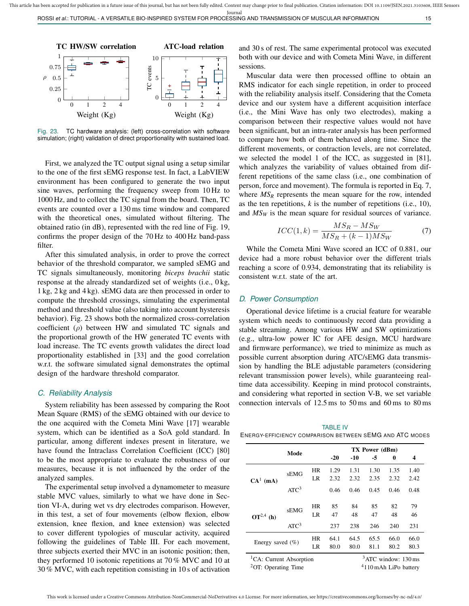

Fig. 23. TC hardware analysis: (left) cross-correlation with software simulation; (right) validation of direct proportionality with sustained load.

First, we analyzed the TC output signal using a setup similar to the one of the first sEMG response test. In fact, a LabVIEW environment has been configured to generate the two input sine waves, performing the frequency sweep from 10 Hz to 1000 Hz, and to collect the TC signal from the board. Then, TC events are counted over a 130 ms time window and compared with the theoretical ones, simulated without filtering. The obtained ratio (in dB), represented with the red line of Fig. 19, confirms the proper design of the 70 Hz to 400 Hz band-pass filter.

After this simulated analysis, in order to prove the correct behavior of the threshold comparator, we sampled sEMG and TC signals simultaneously, monitoring *biceps brachii* static response at the already standardized set of weights (i.e., 0 kg, 1 kg, 2 kg and 4 kg). sEMG data are then processed in order to compute the threshold crossings, simulating the experimental method and threshold value (also taking into account hysteresis behavior). Fig. 23 shows both the normalized cross-correlation coefficient  $(\rho)$  between HW and simulated TC signals and the proportional growth of the HW generated TC events with load increase. The TC events growth validates the direct load proportionality established in [33] and the good correlation w.r.t. the software simulated signal demonstrates the optimal design of the hardware threshold comparator.

#### *C. Reliability Analysis*

System reliability has been assessed by comparing the Root Mean Square (RMS) of the sEMG obtained with our device to the one acquired with the Cometa Mini Wave [17] wearable system, which can be identified as a SoA gold standard. In particular, among different indexes present in literature, we have found the Intraclass Correlation Coefficient (ICC) [80] to be the most appropriate to evaluate the robustness of our measures, because it is not influenced by the order of the analyzed samples.

The experimental setup involved a dynamometer to measure stable MVC values, similarly to what we have done in Section VI-A, during wet vs dry electrodes comparison. However, in this test, a set of four movements (elbow flexion, elbow extension, knee flexion, and knee extension) was selected to cover different typologies of muscular activity, acquired following the guidelines of Table III. For each movement, three subjects exerted their MVC in an isotonic position; then, they performed 10 isotonic repetitions at 70 % MVC and 10 at 30 % MVC, with each repetition consisting in 10 s of activation

and 30 s of rest. The same experimental protocol was executed both with our device and with Cometa Mini Wave, in different sessions.

Muscular data were then processed offline to obtain an RMS indicator for each single repetition, in order to proceed with the reliability analysis itself. Considering that the Cometa device and our system have a different acquisition interface (i.e., the Mini Wave has only two electrodes), making a comparison between their respective values would not have been significant, but an intra-rater analysis has been performed to compare how both of them behaved along time. Since the different movements, or contraction levels, are not correlated, we selected the model 1 of the ICC, as suggested in [81], which analyzes the variability of values obtained from different repetitions of the same class (i.e., one combination of person, force and movement). The formula is reported in Eq. 7, where  $MS_R$  represents the mean square for the row, intended as the ten repetitions, *k* is the number of repetitions (i.e., 10), and *MS<sup>W</sup>* is the mean square for residual sources of variance.

$$
ICC(1,k) = \frac{MS_R - MS_W}{MS_R + (k-1)MS_W}
$$
 (7)

While the Cometa Mini Wave scored an ICC of 0.881, our device had a more robust behavior over the different trials reaching a score of 0.934, demonstrating that its reliability is consistent w.r.t. state of the art.

#### *D. Power Consumption*

Operational device lifetime is a crucial feature for wearable system which needs to continuously record data providing a stable streaming. Among various HW and SW optimizations (e.g., ultra-low power IC for AFE design, MCU hardware and firmware performance), we tried to minimize as much as possible current absorption during ATC/sEMG data transmission by handling the BLE adjustable parameters (considering relevant transmission power levels), while guaranteeing realtime data accessibility. Keeping in mind protocol constraints, and considering what reported in section V-B, we set variable connection intervals of 12.5 ms to 50 ms and 60 ms to 80 ms

TABLE IV ENERGY-EFFICIENCY COMPARISON BETWEEN SEMG AND ATC MODES

|                                                        | Mode             |           | TX Power (dBm) |       |                        |      |      |  |
|--------------------------------------------------------|------------------|-----------|----------------|-------|------------------------|------|------|--|
|                                                        |                  |           | $-20$          | $-10$ | -5                     | 0    | 4    |  |
|                                                        | sEMG             | HR        | 1.29           | 1.31  | 1.30                   | 1.35 | 1.40 |  |
| $CA1$ (mA)                                             |                  | LR        | 2.32           | 2.32  | 2.35                   | 2.32 | 2.42 |  |
|                                                        | ATC <sup>3</sup> |           | 0.46           | 0.46  | 0.45                   | 0.46 | 0.48 |  |
| $OT^{2,4}$ (h)                                         | sEMG             | HR        | 85             | 84    | 85                     | 82   | 79   |  |
|                                                        |                  | LR        | 47             | 48    | 47                     | 48   | 46   |  |
|                                                        | ATC <sup>3</sup> |           | 237            | 238   | 246                    | 240  | 231  |  |
| Energy saved $(\% )$                                   |                  | <b>HR</b> | 64.1           | 64.5  | 65.5                   | 66.0 | 66.0 |  |
|                                                        | LR               |           | 80.0           | 80.0  | 81.1                   | 80.2 | 80.3 |  |
| <sup>1</sup> CA: Current Absorption                    |                  |           |                |       | $3$ ATC window: 130 ms |      |      |  |
| ${}^{2}$ OT: Operating Time<br>$4110$ mAh LiPo battery |                  |           |                |       |                        |      |      |  |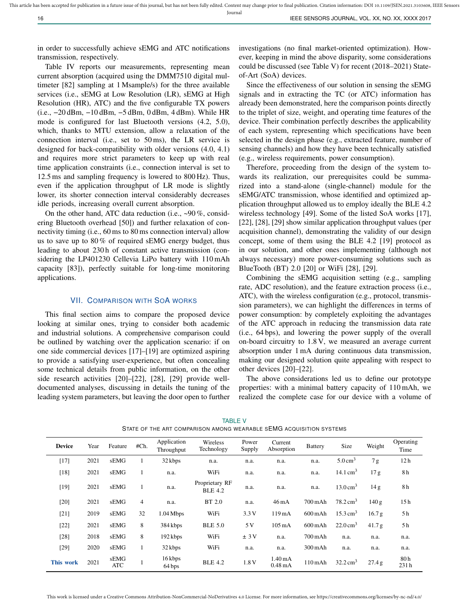Journal

in order to successfully achieve sEMG and ATC notifications transmission, respectively.

Table IV reports our measurements, representing mean current absorption (acquired using the DMM7510 digital multimeter [82] sampling at 1 Msample/s) for the three available services (i.e., sEMG at Low Resolution (LR), sEMG at High Resolution (HR), ATC) and the five configurable TX powers (i.e., −20 dBm, −10 dBm, −5 dBm, 0 dBm, 4 dBm). While HR mode is configured for last Bluetooth versions (4.2, 5.0), which, thanks to MTU extension, allow a relaxation of the connection interval (i.e., set to 50 ms), the LR service is designed for back-compatibility with older versions (4.0, 4.1) and requires more strict parameters to keep up with real time application constraints (i.e., connection interval is set to 12.5 ms and sampling frequency is lowered to 800 Hz). Thus, even if the application throughput of LR mode is slightly lower, its shorter connection interval considerably decreases idle periods, increasing overall current absorption.

On the other hand, ATC data reduction (i.e., ~90 %, considering Bluetooth overhead [50]) and further relaxation of connectivity timing (i.e., 60 ms to 80 ms connection interval) allow us to save up to 80 % of required sEMG energy budget, thus leading to about 230 h of constant active transmission (considering the LP401230 Cellevia LiPo battery with 110 mAh capacity [83]), perfectly suitable for long-time monitoring applications.

#### VII. COMPARISON WITH SOA WORKS

This final section aims to compare the proposed device looking at similar ones, trying to consider both academic and industrial solutions. A comprehensive comparison could be outlined by watching over the application scenario: if on one side commercial devices [17]–[19] are optimized aspiring to provide a satisfying user-experience, but often concealing some technical details from public information, on the other side research activities [20]–[22], [28], [29] provide welldocumented analyses, discussing in details the tuning of the leading system parameters, but leaving the door open to further investigations (no final market-oriented optimization). However, keeping in mind the above disparity, some considerations could be discussed (see Table V) for recent (2018–2021) Stateof-Art (SoA) devices.

Since the effectiveness of our solution in sensing the sEMG signals and in extracting the TC (or ATC) information has already been demonstrated, here the comparison points directly to the triplet of size, weight, and operating time features of the device. Their combination perfectly describes the applicability of each system, representing which specifications have been selected in the design phase (e.g., extracted feature, number of sensing channels) and how they have been technically satisfied (e.g., wireless requirements, power consumption).

Therefore, proceeding from the design of the system towards its realization, our prerequisites could be summarized into a stand-alone (single-channel) module for the sEMG/ATC transmission, whose identified and optimized application throughput allowed us to employ ideally the BLE 4.2 wireless technology [49]. Some of the listed SoA works [17], [22], [28], [29] show similar application throughput values (per acquisition channel), demonstrating the validity of our design concept, some of them using the BLE 4.2 [19] protocol as in our solution, and other ones implementing (although not always necessary) more power-consuming solutions such as BlueTooth (BT) 2.0 [20] or WiFi [28], [29].

Combining the sEMG acquisition setting (e.g., sampling rate, ADC resolution), and the feature extraction process (i.e., ATC), with the wireless configuration (e.g., protocol, transmission parameters), we can highlight the differences in terms of power consumption: by completely exploiting the advantages of the ATC approach in reducing the transmission data rate (i.e., 64 bps), and lowering the power supply of the overall on-board circuitry to 1.8 V, we measured an average current absorption under 1 mA during continuous data transmission, making our designed solution quite appealing with respect to other devices [20]–[22].

The above considerations led us to define our prototype properties: with a minimal battery capacity of 110 mAh, we realized the complete case for our device with a volume of

| <b>Device</b> | Year | Feature     | #Ch.           | Application<br>Throughput | Wireless<br>Technology           | Power<br>Supply | Current<br>Absorption                  | <b>Battery</b>     | Size                | Weight          | Operating<br>Time |
|---------------|------|-------------|----------------|---------------------------|----------------------------------|-----------------|----------------------------------------|--------------------|---------------------|-----------------|-------------------|
| $[17]$        | 2021 | sEMG        | 1              | 32 kbps                   | n.a.                             | n.a.            | n.a.                                   | n.a.               | $5.0 \text{ cm}^3$  | 7g              | 12 <sub>h</sub>   |
| $[18]$        | 2021 | sEMG        | 1              | n.a.                      | WiFi                             | n.a.            | n.a.                                   | n.a.               | 14.1 $\text{cm}^3$  | 17 <sub>g</sub> | 8h                |
| $[19]$        | 2021 | sEMG        | 1              | n.a.                      | Proprietary RF<br><b>BLE 4.2</b> | n.a.            | n.a.                                   | n.a.               | $13.0 \text{ cm}^3$ | 14 g            | 8 h               |
| $[20]$        | 2021 | sEMG        | $\overline{4}$ | n.a.                      | BT 2.0                           | n.a.            | $46 \text{ mA}$                        | 700 mAh            | $78.2 \text{ cm}^3$ | 140 g           | 15 <sub>h</sub>   |
| $[21]$        | 2019 | sEMG        | 32             | $1.04$ Mbps               | WiFi                             | 3.3V            | 119mA                                  | $600 \text{ mA}$ h | $15.3 \text{ cm}^3$ | 16.7 g          | 5 h               |
| $[22]$        | 2021 | sEMG        | 8              | 384 kbps                  | <b>BLE 5.0</b>                   | 5 V             | $105 \text{ mA}$                       | $600$ mAh          | $22.0 \text{ cm}^3$ | 41.7 g          | 5 h               |
| $[28]$        | 2018 | sEMG        | 8              | 192 kbps                  | WiFi                             | ± 3V            | n.a.                                   | $700$ mAh          | n.a.                | n.a.            | n.a.              |
| $[29]$        | 2020 | sEMG        | 1              | 32 kbps                   | WiFi                             | n.a.            | n.a.                                   | $300$ mAh          | n.a.                | n.a.            | n.a.              |
| This work     | 2021 | sEMG<br>ATC |                | 16 kbps<br>64 bps         | <b>BLE 4.2</b>                   | 1.8 V           | $1.40 \text{ mA}$<br>$0.48 \text{ mA}$ | $110$ mAh          | $32.2 \text{ cm}^3$ | 27.4 g          | 80h<br>231h       |

TABLE V STATE OF THE ART COMPARISON AMONG WEARABLE SEMG ACQUISITION SYSTEMS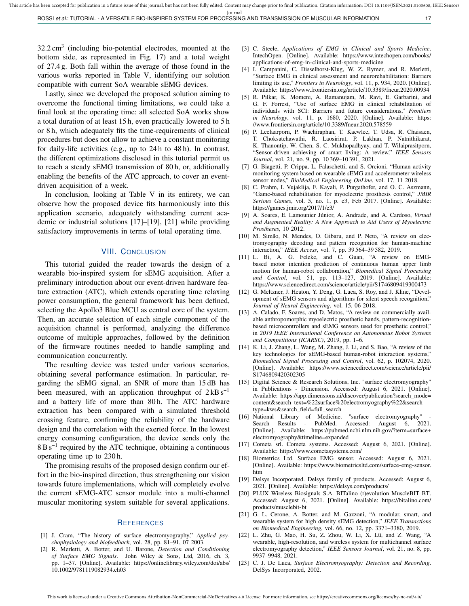$32.2 \text{ cm}^3$  (including bio-potential electrodes, mounted at the bottom side, as represented in Fig. 17) and a total weight of 27.4 g. Both fall within the average of those found in the various works reported in Table V, identifying our solution compatible with current SoA wearable sEMG devices.

Lastly, since we developed the proposed solution aiming to overcome the functional timing limitations, we could take a final look at the operating time: all selected SoA works show a total duration of at least 15 h, even practically lowered to 5 h or 8 h, which adequately fits the time-requirements of clinical procedures but does not allow to achieve a constant monitoring for daily-life activities (e.g., up to 24 h to 48 h). In contrast, the different optimizations disclosed in this tutorial permit us to reach a steady sEMG transmission of 80 h, or, additionally enabling the benefits of the ATC approach, to cover an eventdriven acquisition of a week.

In conclusion, looking at Table V in its entirety, we can observe how the proposed device fits harmoniously into this application scenario, adequately withstanding current academic or industrial solutions [17]–[19], [21] while providing satisfactory improvements in terms of total operating time.

# VIII. CONCLUSION

This tutorial guided the reader towards the design of a wearable bio-inspired system for sEMG acquisition. After a preliminary introduction about our event-driven hardware feature extraction (ATC), which extends operating time relaxing power consumption, the general framework has been defined, selecting the Apollo3 Blue MCU as central core of the system. Then, an accurate selection of each single component of the acquisition channel is performed, analyzing the difference outcome of multiple approaches, followed by the definition of the firmware routines needed to handle sampling and communication concurrently.

The resulting device was tested under various scenarios, obtaining several performance estimation. In particular, regarding the sEMG signal, an SNR of more than 15 dB has been measured, with an application throughput of  $2kB$  s<sup>-1</sup> and a battery life of more than 80 h. The ATC hardware extraction has been compared with a simulated threshold crossing feature, confirming the reliability of the hardware design and the correlation with the exerted force. In the lowest energy consuming configuration, the device sends only the 8 B s<sup>-1</sup> required by the ATC technique, obtaining a continuous operating time up to 230 h.

The promising results of the proposed design confirm our effort in the bio-inspired direction, thus strengthening our vision towards future implementations, which will completely evolve the current sEMG-ATC sensor module into a multi-channel muscular monitoring system suitable for several applications.

#### **REFERENCES**

- [1] J. Cram, "The history of surface electromyography," *Applied psychophysiology and biofeedback*, vol. 28, pp. 81–91, 07 2003.
- [2] R. Merletti, A. Botter, and U. Barone, *Detection and Conditioning of Surface EMG Signals*. John Wiley & Sons, Ltd, 2016, ch. 3, pp. 1–37. [Online]. Available: https://onlinelibrary.wiley.com/doi/abs/ 10.1002/9781119082934.ch03
- [3] C. Steele, *Applications of EMG in Clinical and Sports Medicine*. IntechOpen. [Online]. Available: https://www.intechopen.com/books/ applications-of-emg-in-clinical-and-sports-medicine
- [4] I. Campanini, C. Disselhorst-Klug, W. Z. Rymer, and R. Merletti, "Surface EMG in clinical assessment and neurorehabilitation: Barriers limiting its use," *Frontiers in Neurology*, vol. 11, p. 934, 2020. [Online]. Available: https://www.frontiersin.org/article/10.3389/fneur.2020.00934
- [5] R. Pilkar, K. Momeni, A. Ramanujam, M. Ravi, E. Garbarini, and G. F. Forrest, "Use of surface EMG in clinical rehabilitation of individuals with SCI: Barriers and future considerations," *Frontiers in Neurology*, vol. 11, p. 1680, 2020. [Online]. Available: https: //www.frontiersin.org/article/10.3389/fneur.2020.578559
- [6] P. Leelaarporn, P. Wachiraphan, T. Kaewlee, T. Udsa, R. Chaisaen, T. Choksatchawathi, R. Laosirirat, P. Lakhan, P. Natnithikarat, K. Thanontip, W. Chen, S. C. Mukhopadhyay, and T. Wilaiprasitporn, "Sensor-driven achieving of smart living: A review," *IEEE Sensors Journal*, vol. 21, no. 9, pp. 10 369–10 391, 2021.
- [7] G. Biagetti, P. Crippa, L. Falaschetti, and S. Orcioni, "Human activity monitoring system based on wearable sEMG and accelerometer wireless sensor nodes," *BioMedical Engineering OnLine*, vol. 17, 11 2018.
- [8] C. Prahm, I. Vujaklija, F. Kayali, P. Purgathofer, and O. C. Aszmann, "Game-based rehabilitation for myoelectric prosthesis control," *JMIR Serious Games*, vol. 5, no. 1, p. e3, Feb 2017. [Online]. Available: https://games.jmir.org/2017/1/e3/
- [9] A. Soares, E. Lamounier Júnior, A. Andrade, and A. Cardoso, *Virtual and Augmented Reality: A New Approach to Aid Users of Myoelectric Prostheses*, 10 2012.
- [10] M. Simão, N. Mendes, O. Gibaru, and P. Neto, "A review on electromyography decoding and pattern recognition for human-machine interaction," *IEEE Access*, vol. 7, pp. 39 564–39 582, 2019.
- [11] L. Bi, A. G. Feleke, and C. Guan, "A review on EMGbased motor intention prediction of continuous human upper limb motion for human-robot collaboration," *Biomedical Signal Processing and Control*, vol. 51, pp. 113–127, 2019. [Online]. Available: https://www.sciencedirect.com/science/article/pii/S1746809419300473
- [12] G. Meltzner, J. Heaton, Y. Deng, G. Luca, S. Roy, and J. Kline, "Development of sEMG sensors and algorithms for silent speech recognition," *Journal of Neural Engineering*, vol. 15, 06 2018.
- [13] A. Calado, F. Soares, and D. Matos, "A review on commercially available anthropomorphic myoelectric prosthetic hands, pattern-recognitionbased microcontrollers and sEMG sensors used for prosthetic control," in *2019 IEEE International Conference on Autonomous Robot Systems and Competitions (ICARSC)*, 2019, pp. 1–6.
- [14] K. Li, J. Zhang, L. Wang, M. Zhang, J. Li, and S. Bao, "A review of the key technologies for sEMG-based human-robot interaction systems," *Biomedical Signal Processing and Control*, vol. 62, p. 102074, 2020. [Online]. Available: https://www.sciencedirect.com/science/article/pii/ S1746809420302305
- [15] Digital Science & Research Solutions, Inc. "surface electromyography" in Publications - Dimension. Accessed: August 6, 2021. [Online]. Available: https://app.dimensions.ai/discover/publication?search\_mode= content&search\_text=%22surface%20electromyography%22&search\_ type=kws&search\_field=full\_search<br>[16] National Library of Medicine.
- of Medicine. "surface electromyography" Search Results - PubMed. Accessed: August 6, 2021. [Online]. Available: https://pubmed.ncbi.nlm.nih.gov/?term=surface+ electromyography&timeline=expanded
- [17] Cometa srl. Cometa systems. Accessed: August 6, 2021. [Online]. Available: https://www.cometasystems.com/
- [18] Biometrics Ltd. Surface EMG sensor. Accessed: August 6, 2021. [Online]. Available: https://www.biometricsltd.com/surface-emg-sensor. htm
- [19] Delsys Incorporated. Delsys family of products. Accessed: August 6, 2021. [Online]. Available: https://delsys.com/products/
- [20] PLUX Wireless Biosignals S.A. BITalino (r)evolution MuscleBIT BT. Accessed: August 6, 2021. [Online]. Available: https://bitalino.com/ products/musclebit-bt
- [21] G. L. Cerone, A. Botter, and M. Gazzoni, "A modular, smart, and wearable system for high density sEMG detection," *IEEE Transactions on Biomedical Engineering*, vol. 66, no. 12, pp. 3371–3380, 2019.
- [22] L. Zhu, G. Mao, H. Su, Z. Zhou, W. Li, X. Lü, and Z. Wang, "A wearable, high-resolution, and wireless system for multichannel surface electromyography detection," *IEEE Sensors Journal*, vol. 21, no. 8, pp. 9937–9948, 2021.
- [23] C. J. De Luca, *Surface Electromyography: Detection and Recording*. DelSys Incorporated, 2002.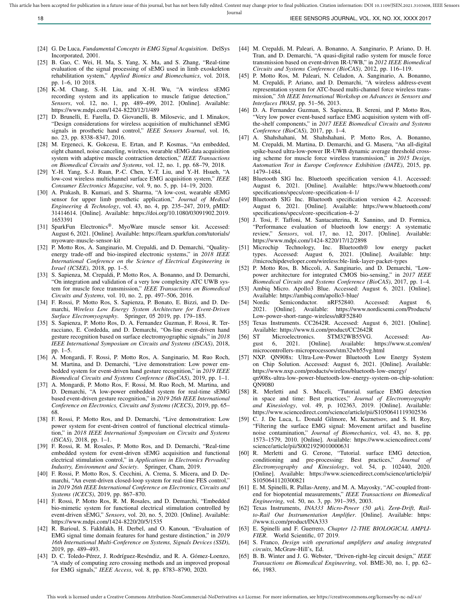This article has been accepted for publication in a future issue of this journal, but has not been fully edited. Content may change prior to final publication. Citation information: DOI 10.1109/JSEN.2021.3103608, IEEE Sens

18 IEEE SENSORS JOURNAL, VOL. XX, NO. XX, XXXX 2017

- - [44] M. Crepaldi, M. Paleari, A. Bonanno, A. Sanginario, P. Ariano, D. H. Tran, and D. Demarchi, "A quasi-digital radio system for muscle force transmission based on event-driven IR-UWB," in *2012 IEEE Biomedical Circuits and Systems Conference (BioCAS)*, 2012, pp. 116–119.
	- [45] P. Motto Ros, M. Paleari, N. Celadon, A. Sanginario, A. Bonanno, M. Crepaldi, P. Ariano, and D. Demarchi, "A wireless address-event representation system for ATC-based multi-channel force wireless transmission," *5th IEEE International Workshop on Advances in Sensors and Interfaces IWASI*, pp. 51–56, 2013.
	- [46] D. A. Fernandez Guzman, S. Sapienza, B. Sereni, and P. Motto Ros, "Very low power event-based surface EMG acquisition system with offthe-shelf components," in *2017 IEEE Biomedical Circuits and Systems Conference (BioCAS)*, 2017, pp. 1–4.
	- [47] A. Shahshahani, M. Shahshahani, P. Motto Ros, A. Bonanno, M. Crepaldi, M. Martina, D. Demarchi, and G. Masera, "An all-digital spike-based ultra-low-power IR-UWB dynamic average threshold crossing scheme for muscle force wireless transmission," in *2015 Design, Automation Test in Europe Conference Exhibition (DATE)*, 2015, pp. 1479–1484.
	- [48] Bluetooth SIG Inc. Bluetooth specification version 4.1. Accessed: August 6, 2021. [Online]. Available: https://www.bluetooth.com/ specifications/specs/core-specification-4-1/
	- [49] Bluetooth SIG Inc. Bluetooth specification version 4.2. Accessed: August 6, 2021. [Online]. Available: https://www.bluetooth.com/ specifications/specs/core-specification-4-2/
	- [50] J. Tosi, F. Taffoni, M. Santacatterina, R. Sannino, and D. Formica, "Performance evaluation of bluetooth low energy: A systematic review," *Sensors*, vol. 17, no. 12, 2017. [Online]. Available: https://www.mdpi.com/1424-8220/17/12/2898
	- [51] Microchip Technology, Inc. Bluetooth® low energy packet types. Accessed: August 6, 2021. [Online]. Available: http: //microchipdeveloper.com/wireless:ble-link-layer-packet-types
	- [52] P. Motto Ros, B. Miccoli, A. Sanginario, and D. Demarchi, "Lowpower architecture for integrated CMOS bio-sensing," in *2017 IEEE Biomedical Circuits and Systems Conference (BioCAS)*, 2017, pp. 1–4.
	- [53] Ambiq Micro. Apollo3 Blue. Accessed: August 6, 2021. [Online]. Available: https://ambiq.com/apollo3-blue/
	- [54] Nordic Semiconductor. nRF52840. Accessed: August 6, 2021. [Online]. Available: https://www.nordicsemi.com/Products/ Low-power-short-range-wireless/nRF52840
	- [55] Texas Instruments. CC2642R. Accessed: August 6, 2021. [Online]. Available: https://www.ti.com/product/CC2642R
	- [56] ST Microelectronics. STM32WB55VG. Accessed: August 6, 2021. [Online]. Available: https://www.st.com/en/ microcontrollers-microprocessors/stm32wb55vg.html
	- [57] NXP. QN908x: Ultra-Low-Power Bluetooth Low Energy System on Chip Solution. Accessed: August 6, 2021. [Online]. Available: https://www.nxp.com/products/wireless/bluetooth-low-energy/ qn908x-ultra-low-power-bluetooth-low-energy-system-on-chip-solution: QN9080
	- [58] R. Merletti and S. Muceli, "Tutorial. surface EMG detection in space and time: Best practices," *Journal of Electromyography and Kinesiology*, vol. 49, p. 102363, 2019. [Online]. Available: https://www.sciencedirect.com/science/article/pii/S1050641119302536
	- [59] C. J. De Luca, L. Donald Gilmore, M. Kuznetsov, and S. H. Roy, "Filtering the surface EMG signal: Movement artifact and baseline noise contamination," *Journal of Biomechanics*, vol. 43, no. 8, pp. 1573–1579, 2010. [Online]. Available: https://www.sciencedirect.com/ science/article/pii/S0021929010000631
	- [60] R. Merletti and G. Cerone, "Tutorial. surface EMG detection, conditioning and pre-processing: Best practices," *Journal of Electromyography and Kinesiology*, vol. 54, p. 102440, 2020. [Online]. Available: https://www.sciencedirect.com/science/article/pii/ S1050641120300821
	- [61] E. M. Spinelli, R. Pallas-Areny, and M. A. Mayosky, "AC-coupled frontend for biopotential measurements," *IEEE Transactions on Biomedical Engineering*, vol. 50, no. 3, pp. 391–395, 2003.
	- [62] Texas Instruments, *INA333 Micro-Power (50 µA), Zerø-Drift, Railto-Rail Out Instrumentation Amplifier*. [Online]. Available: https: //www.ti.com/product/INA333
	- [63] E. Spinelli and F. Guerrero, *Chapter 12-THE BIOLOGICAL AMPLI-FIER*. World Scientific, 07 2019.
	- [64] S. Franco, *Design with operational amplifiers and analog integrated circuits*, McGraw-Hill's, Ed.
	- [65] B. B. Winter and J. G. Webster, "Driven-right-leg circuit design," *IEEE Transactions on Biomedical Engineering*, vol. BME-30, no. 1, pp. 62– 66, 1983.
- [24] G. De Luca, *Fundamental Concepts in EMG Signal Acquisition*. DelSys Incorporated, 2001.
- [25] B. Gao, C. Wei, H. Ma, S. Yang, X. Ma, and S. Zhang, "Real-time evaluation of the signal processing of sEMG used in limb exoskeleton rehabilitation system," *Applied Bionics and Biomechanics*, vol. 2018, pp. 1–6, 10 2018.
- [26] K.-M. Chang, S.-H. Liu, and X.-H. Wu, "A wireless sEMG recording system and its application to muscle fatigue detection, *Sensors*, vol. 12, no. 1, pp. 489–499, 2012. [Online]. Available: https://www.mdpi.com/1424-8220/12/1/489
- [27] D. Brunelli, E. Farella, D. Giovanelli, B. Milosevic, and I. Minakov, "Design considerations for wireless acquisition of multichannel sEMG signals in prosthetic hand control," *IEEE Sensors Journal*, vol. 16, no. 23, pp. 8338–8347, 2016.
- [28] M. Ergeneci, K. Gokcesu, E. Ertan, and P. Kosmas, "An embedded, eight channel, noise canceling, wireless, wearable sEMG data acquisition system with adaptive muscle contraction detection," *IEEE Transactions on Biomedical Circuits and Systems*, vol. 12, no. 1, pp. 68–79, 2018.
- [29] Y.-H. Yang, S.-J. Ruan, P.-C. Chen, Y.-T. Liu, and Y.-H. Hsueh, "A low-cost wireless multichannel surface EMG acquisition system," *IEEE Consumer Electronics Magazine*, vol. 9, no. 5, pp. 14–19, 2020.
- [30] A. Prakash, B. Kumari, and S. Sharma, "A low-cost, wearable sEMG sensor for upper limb prosthetic application," *Journal of Medical Engineering & Technology*, vol. 43, no. 4, pp. 235–247, 2019, pMID: 31414614. [Online]. Available: https://doi.org/10.1080/03091902.2019. 1653391
- [31] SparkFun Electronics®. MyoWare muscle sensor kit. Accessed: August 6, 2021. [Online]. Available: https://learn.sparkfun.com/tutorials/ myoware-muscle-sensor-kit
- [32] P. Motto Ros, A. Sanginario, M. Crepaldi, and D. Demarchi, "Qualityenergy trade-off and bio-inspired electronic systems," in *2018 IEEE International Conference on the Science of Electrical Engineering in Israel (ICSEE)*, 2018, pp. 1–5.
- [33] S. Sapienza, M. Crepaldi, P. Motto Ros, A. Bonanno, and D. Demarchi, "On integration and validation of a very low complexity ATC UWB system for muscle force transmission," *IEEE Transactions on Biomedical Circuits and Systems*, vol. 10, no. 2, pp. 497–506, 2016.
- [34] F. Rossi, P. Motto Ros, S. Sapienza, P. Bonato, E. Bizzi, and D. Demarchi, *Wireless Low Energy System Architecture for Event-Driven Surface Electromyography*. Springer, 05 2019, pp. 179–185.
- [35] S. Sapienza, P. Motto Ros, D. A. Fernandez Guzman, F. Rossi, R. Terracciano, E. Cordedda, and D. Demarchi, "On-line event-driven hand gesture recognition based on surface electromyographic signals," in *2018 IEEE International Symposium on Circuits and Systems (ISCAS)*, 2018, pp. 1–5.
- [36] A. Mongardi, F. Rossi, P. Motto Ros, A. Sanginario, M. Ruo Roch, M. Martina, and D. Demarchi, "Live demonstration: Low power embedded system for event-driven hand gesture recognition," in *2019 IEEE Biomedical Circuits and Systems Conference (BioCAS)*, 2019, pp. 1–1.
- [37] A. Mongardi, P. Motto Ros, F. Rossi, M. Ruo Roch, M. Martina, and D. Demarchi, "A low-power embedded system for real-time sEMG based event-driven gesture recognition," in *2019 26th IEEE International Conference on Electronics, Circuits and Systems (ICECS)*, 2019, pp. 65– 68.
- [38] F. Rossi, P. Motto Ros, and D. Demarchi, "Live demonstration: Low power system for event-driven control of functional electrical stimulation," in *2018 IEEE International Symposium on Circuits and Systems (ISCAS)*, 2018, pp. 1–1.
- [39] F. Rossi, R. M. Rosales, P. Motto Ros, and D. Demarchi, "Real-time embedded system for event-driven sEMG acquisition and functional electrical stimulation control," in *Applications in Electronics Pervading Industry, Environment and Society*. Springer, Cham, 2019.
- [40] F. Rossi, P. Motto Ros, S. Cecchini, A. Crema, S. Micera, and D. Demarchi, "An event-driven closed-loop system for real-time FES control," in *2019 26th IEEE International Conference on Electronics, Circuits and Systems (ICECS)*, 2019, pp. 867–870.
- [41] F. Rossi, P. Motto Ros, R. M. Rosales, and D. Demarchi, "Embedded bio-mimetic system for functional electrical stimulation controlled by event-driven sEMG," *Sensors*, vol. 20, no. 5, 2020. [Online]. Available: https://www.mdpi.com/1424-8220/20/5/1535
- [42] R. Barioul, S. Fakhfakh, H. Derbel, and O. Kanoun, "Evaluation of EMG signal time domain features for hand gesture distinction," in *2019 16th International Multi-Conference on Systems, Signals Devices (SSD)*, 2019, pp. 489–493.
- [43] D. C. Toledo-Pérez, J. Rodríguez-Reséndiz, and R. A. Gómez-Loenzo, "A study of computing zero crossing methods and an improved proposal for EMG signals," *IEEE Access*, vol. 8, pp. 8783–8790, 2020.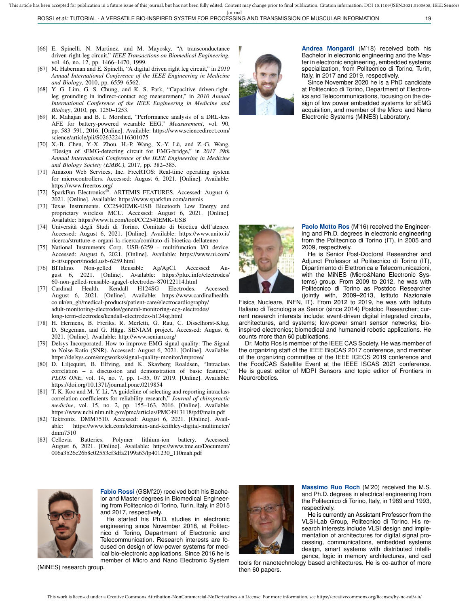- [66] E. Spinelli, N. Martinez, and M. Mayosky, "A transconductance driven-right-leg circuit," *IEEE Transactions on Biomedical Engineering*, vol. 46, no. 12, pp. 1466–1470, 1999.
- [67] M. Haberman and E. Spinelli, "A digital driven right leg circuit," in *2010 Annual International Conference of the IEEE Engineering in Medicine and Biology*, 2010, pp. 6559–6562.
- [68] Y. G. Lim, G. S. Chung, and K. S. Park, "Capacitive driven-rightleg grounding in indirect-contact ecg measurement," in *2010 Annual International Conference of the IEEE Engineering in Medicine and Biology*, 2010, pp. 1250–1253.
- [69] R. Mahajan and B. I. Morshed, "Performance analysis of a DRL-less AFE for battery-powered wearable EEG," *Measurement*, vol. 90, pp. 583–591, 2016. [Online]. Available: https://www.sciencedirect.com/ science/article/pii/S0263224116301075
- [70] X.-B. Chen, Y.-X. Zhou, H.-P. Wang, X.-Y. Lü, and Z.-G. Wang, "Design of sEMG-detecting circuit for EMG-bridge," in *2017 39th Annual International Conference of the IEEE Engineering in Medicine and Biology Society (EMBC)*, 2017, pp. 382–385.
- [71] Amazon Web Services, Inc. FreeRTOS: Real-time operating system for microcontrollers. Accessed: August 6, 2021. [Online]. Available:
- https://www.freertos.org/<br>[72] SparkFun Electronics®. ARTEMIS FEATURES. Accessed: August 6, 2021. [Online]. Available: https://www.sparkfun.com/artemis
- [73] Texas Instruments. CC2540EMK-USB Bluetooth Low Energy and proprietary wireless MCU. Accessed: August 6, 2021. [Online]. Available: https://www.ti.com/tool/CC2540EMK-USB
- [74] Università degli Studi di Torino. Comitato di bioetica dell'ateneo. Accessed: August 6, 2021. [Online]. Available: https://www.unito.it/ ricerca/strutture-e-organi-la-ricerca/comitato-di-bioetica-dellateneo
- [75] National Instruments Corp. USB-6259 multifunction I/O device. Accessed: August 6, 2021. [Online]. Available: https://www.ni.com/ it-it/support/model.usb-6259.html
- [76] BITalino. Non-gelled Reusable Ag/AgCl. Accessed: August 6, 2021. [Online]. Available: https://plux.info/electrodes/ 60-non-gelled-reusable-agagcl-electrodes-870122114.html
- [77] Cardinal Health. Kendall H124SG Electrodes. Accessed: August 6, 2021. [Online]. Available: https://www.cardinalhealth. co.uk/en\_gb/medical-products/patient-care/electrocardiography/ adult-monitoring-electrodes/general-monitoring-ecg-electrodes/ long-term-electrodes/kendall-electrodes-h124sg.html
- [78] H. Hermens, B. Freriks, R. Merletti, G. Rau, C. Disselhorst-Klug, D. Stegeman, and G. Hägg. SENIAM project. Accessed: August 6, 2021. [Online]. Available: http://www.seniam.org/
- [79] Delsys Incorporated. How to improve EMG signal quality: The Signal to Noise Ratio (SNR). Accessed: August 6, 2021. [Online]. Available: https://delsys.com/emgworks/signal-quality-monitor/improve/
- [80] D. Liljequist, B. Elfving, and K. Skavberg Roaldsen, "Intraclass correlation – a discussion and demonstration of basic features," *PLOS ONE*, vol. 14, no. 7, pp. 1–35, 07 2019. [Online]. Available: https://doi.org/10.1371/journal.pone.0219854
- [81] T. K. Koo and M. Y. Li, "A guideline of selecting and reporting intraclass correlation coefficients for reliability research," *Journal of chiropractic medicine*, vol. 15, no. 2, pp. 155–163, 2016. [Online]. Available: https://www.ncbi.nlm.nih.gov/pmc/articles/PMC4913118/pdf/main.pdf
- [82] Tektronix. DMM7510. Accessed: August 6, 2021. [Online]. Available: https://www.tek.com/tektronix-and-keithley-digital-multimeter/ dmm7510
- [83] Cellevia Batteries. Polymer lithium-ion battery. Accessed: August 6, 2021. [Online]. Available: https://www.tme.eu/Document/ 006a3b26c26b8c02553cf3dfa2199a63/lp401230\_110mah.pdf



**Andrea Mongardi** (M'18) received both his Bachelor in electronic engineering and the Master in electronic engineering, embedded systems specialization, from Politecnico di Torino, Turin, Italy, in 2017 and 2019, respectively.

Since November 2020 he is a PhD candidate at Politecnico di Torino, Department of Electronics and Telecommunications, focusing on the design of low power embedded systems for sEMG acquisition, and member of the Micro and Nano Electronic Systems (MiNES) Laboratory.



**Paolo Motto Ros** (M'16) received the Engineering and Ph.D. degrees in electronic engineering from the Politecnico di Torino (IT), in 2005 and 2009, respectively.

He is Senior Post-Doctoral Researcher and Adjunct Professor at Politecnico di Torino (IT), Dipartimento di Elettronica e Telecomunicazioni, with the MiNES (Micro&Nano Electronic Systems) group. From 2009 to 2012, he was with Politecnico di Torino as Postdoc Researcher (jointly with, 2009–2013, Istituto Nazionale

Fisica Nucleare, INFN, IT). From 2012 to 2019, he was with Istituto Italiano di Tecnologia as Senior (since 2014) Postdoc Researcher; current research interests include: event-driven digital integrated circuits, architectures, and systems; low-power smart sensor networks; bioinspired electronics; biomedical and humanoid robotic applications. He counts more than 60 publications.

Dr. Motto Ros is member of the IEEE CAS Society. He was member of the organizing staff of the IEEE BioCAS 2017 conference, and member of the organizing committee of the IEEE ICECS 2019 conference and the FoodCAS Satellite Event at the IEEE ISCAS 2021 conference. He is guest editor of MDPI Sensors and topic editor of Frontiers in Neurorobotics.



**Fabio Rossi** (GSM'20) received both his Bachelor and Master degrees in Biomedical Engineering from Politecnico di Torino, Turin, Italy, in 2015 and 2017, respectively.

He started his Ph.D. studies in electronic engineering since November 2018, at Politecnico di Torino, Department of Electronic and Telecommunication. Research interests are focused on design of low-power systems for medical bio-electronic applications. Since 2016 he is member of Micro and Nano Electronic System

(MiNES) research group.



**Massimo Ruo Roch** (M'20) received the M.S. and Ph.D. degrees in electrical engineering from the Politecnico di Torino, Italy, in 1989 and 1993, respectively.

He is currently an Assistant Professor from the VLSI-Lab Group, Politecnico di Torino. His research interests include VLSI design and implementation of architectures for digital signal processing, communications, embedded systems design, smart systems with distributed intelligence, logic in memory architectures, and cad

tools for nanotechnology based architectures. He is co-author of more then 60 papers.

This work is licensed under a Creative Commons Attribution-NonCommercial-NoDerivatives 4.0 License. For more information, see https://creativecommons.org/licenses/by-nc-nd/4.0/